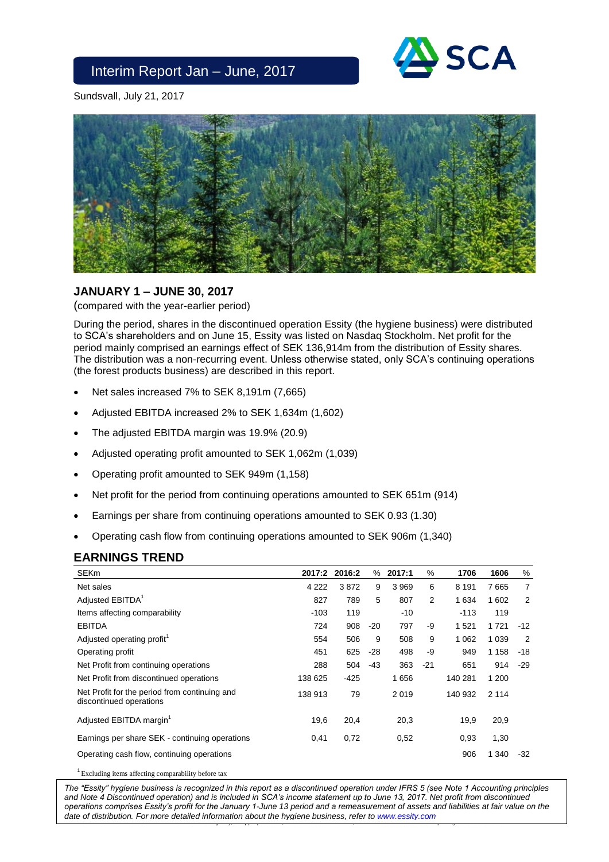

Sundsvall, July 21, 2017



## **JANUARY 1 – JUNE 30, 2017**

(compared with the year-earlier period)

During the period, shares in the discontinued operation Essity (the hygiene business) were distributed to SCA's shareholders and on June 15, Essity was listed on Nasdaq Stockholm. Net profit for the period mainly comprised an earnings effect of SEK 136,914m from the distribution of Essity shares. The distribution was a non-recurring event. Unless otherwise stated, only SCA's continuing operations (the forest products business) are described in this report.

Net sales increased 7% to SEK 8,191m (7,665)

Interim Report Jan – June, 2017

- Adjusted EBITDA increased 2% to SEK 1,634m (1,602)
- The adjusted EBITDA margin was 19.9% (20.9)
- Adjusted operating profit amounted to SEK 1,062m (1,039)
- Operating profit amounted to SEK 949m (1,158)
- Net profit for the period from continuing operations amounted to SEK 651m (914)
- Earnings per share from continuing operations amounted to SEK 0.93 (1.30)
- Operating cash flow from continuing operations amounted to SEK 906m (1,340)

### **EARNINGS TREND**

| <b>SEKm</b>                                                              | 2017:2  | 2016:2 | $\%$  | 2017:1 | %     | 1706    | 1606    | %              |
|--------------------------------------------------------------------------|---------|--------|-------|--------|-------|---------|---------|----------------|
| Net sales                                                                | 4 2 2 2 | 3872   | 9     | 3969   | 6     | 8 1 9 1 | 7665    | 7              |
| Adjusted EBITDA <sup>1</sup>                                             | 827     | 789    | 5     | 807    | 2     | 1 634   | 1 602   | 2              |
| Items affecting comparability                                            | $-103$  | 119    |       | $-10$  |       | $-113$  | 119     |                |
| <b>EBITDA</b>                                                            | 724     | 908    | $-20$ | 797    | -9    | 1521    | 1721    | $-12$          |
| Adjusted operating profit <sup>1</sup>                                   | 554     | 506    | 9     | 508    | 9     | 1 0 6 2 | 1 0 3 9 | $\overline{2}$ |
| Operating profit                                                         | 451     | 625    | -28   | 498    | -9    | 949     | 1 1 5 8 | -18            |
| Net Profit from continuing operations                                    | 288     | 504    | $-43$ | 363    | $-21$ | 651     | 914     | $-29$          |
| Net Profit from discontinued operations                                  | 138 625 | $-425$ |       | 1656   |       | 140 281 | 1 200   |                |
| Net Profit for the period from continuing and<br>discontinued operations | 138 913 | 79     |       | 2019   |       | 140 932 | 2 1 1 4 |                |
| Adjusted EBITDA margin <sup>1</sup>                                      | 19,6    | 20,4   |       | 20,3   |       | 19,9    | 20,9    |                |
| Earnings per share SEK - continuing operations                           | 0,41    | 0,72   |       | 0,52   |       | 0,93    | 1,30    |                |
| Operating cash flow, continuing operations                               |         |        |       |        |       | 906     | 1 340   | -32            |
|                                                                          |         |        |       |        |       |         |         |                |

<sup>1</sup> Excluding items affecting comparability before tax

SVENSKA CELLULOSA AKTIEBOLAGET SCA (publ), Skepparplatsen 1, SE-851 88 SUNDSVALL, SWEDEN. www.sca.com. Corp. Reg. No. 556012-6293 *The "Essity" hygiene business is recognized in this report as a discontinued operation under IFRS 5 (see Note 1 Accounting principles and Note 4 Discontinued operation) and is included in SCA's income statement up to June 13, 2017. Net profit from discontinued operations comprises Essity's profit for the January 1-June 13 period and a remeasurement of assets and liabilities at fair value on the date of distribution. For more detailed information about the hygiene business, refer to [www.essity.com](http://www.essity.com/)*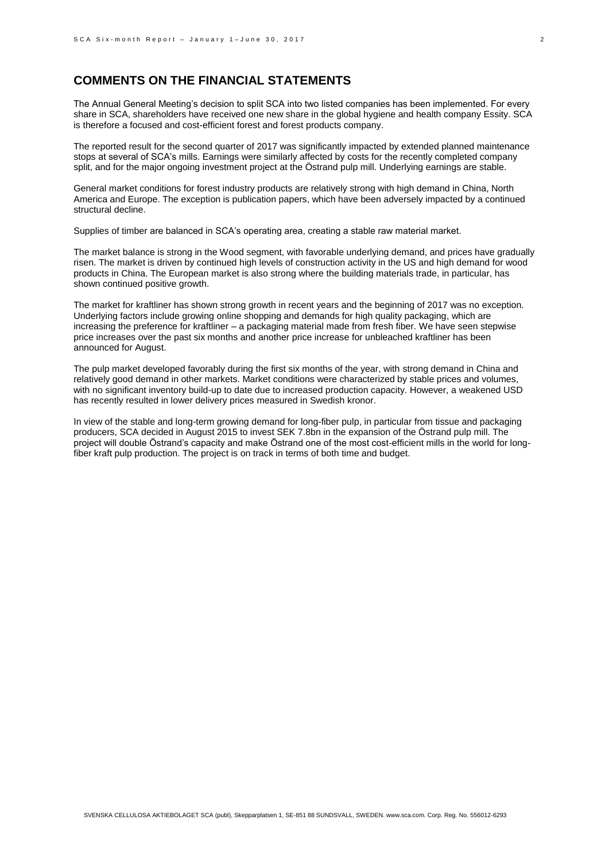### **COMMENTS ON THE FINANCIAL STATEMENTS**

The Annual General Meeting's decision to split SCA into two listed companies has been implemented. For every share in SCA, shareholders have received one new share in the global hygiene and health company Essity. SCA is therefore a focused and cost-efficient forest and forest products company.

The reported result for the second quarter of 2017 was significantly impacted by extended planned maintenance stops at several of SCA's mills. Earnings were similarly affected by costs for the recently completed company split, and for the major ongoing investment project at the Östrand pulp mill. Underlying earnings are stable.

General market conditions for forest industry products are relatively strong with high demand in China, North America and Europe. The exception is publication papers, which have been adversely impacted by a continued structural decline.

Supplies of timber are balanced in SCA's operating area, creating a stable raw material market.

The market balance is strong in the Wood segment, with favorable underlying demand, and prices have gradually risen. The market is driven by continued high levels of construction activity in the US and high demand for wood products in China. The European market is also strong where the building materials trade, in particular, has shown continued positive growth.

The market for kraftliner has shown strong growth in recent years and the beginning of 2017 was no exception. Underlying factors include growing online shopping and demands for high quality packaging, which are increasing the preference for kraftliner – a packaging material made from fresh fiber. We have seen stepwise price increases over the past six months and another price increase for unbleached kraftliner has been announced for August.

The pulp market developed favorably during the first six months of the year, with strong demand in China and relatively good demand in other markets. Market conditions were characterized by stable prices and volumes, with no significant inventory build-up to date due to increased production capacity. However, a weakened USD has recently resulted in lower delivery prices measured in Swedish kronor.

In view of the stable and long-term growing demand for long-fiber pulp, in particular from tissue and packaging producers, SCA decided in August 2015 to invest SEK 7.8bn in the expansion of the Östrand pulp mill. The project will double Östrand's capacity and make Östrand one of the most cost-efficient mills in the world for longfiber kraft pulp production. The project is on track in terms of both time and budget.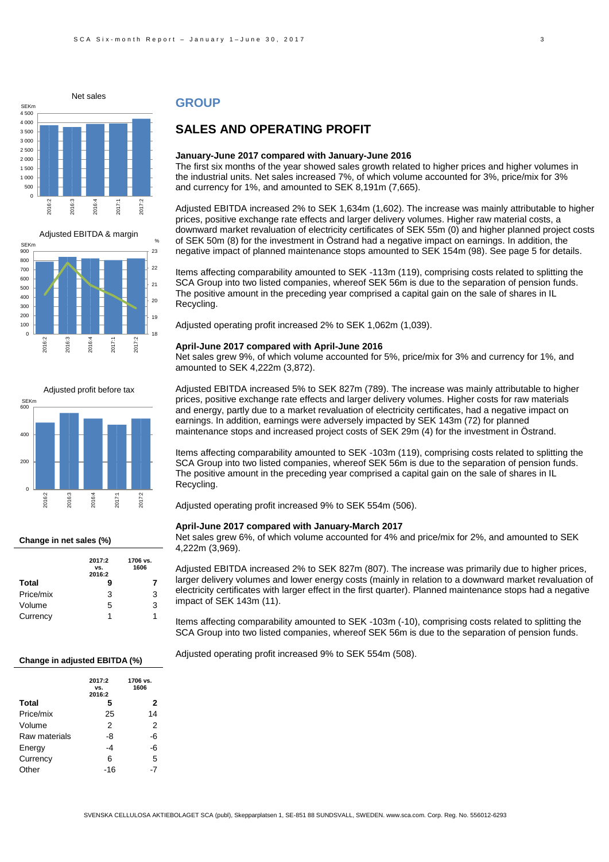





#### **Change in net sales (%)**

|           | 2017:2<br>VS.<br>2016:2 | 1706 vs.<br>1606 |
|-----------|-------------------------|------------------|
| Total     | 9                       | 7                |
| Price/mix | 3                       | 3                |
| Volume    | 5                       | 3                |
| Currency  | 1                       | 1                |

#### **GROUP**

### **SALES AND OPERATING PROFIT**

#### **January-June 2017 compared with January-June 2016**

The first six months of the year showed sales growth related to higher prices and higher volumes in the industrial units. Net sales increased 7%, of which volume accounted for 3%, price/mix for 3% and currency for 1%, and amounted to SEK 8,191m (7,665).

Adjusted EBITDA increased 2% to SEK 1,634m (1,602). The increase was mainly attributable to higher prices, positive exchange rate effects and larger delivery volumes. Higher raw material costs, a downward market revaluation of electricity certificates of SEK 55m (0) and higher planned project costs of SEK 50m (8) for the investment in Östrand had a negative impact on earnings. In addition, the negative impact of planned maintenance stops amounted to SEK 154m (98). See page 5 for details.

Items affecting comparability amounted to SEK -113m (119), comprising costs related to splitting the SCA Group into two listed companies, whereof SEK 56m is due to the separation of pension funds. The positive amount in the preceding year comprised a capital gain on the sale of shares in IL Recycling.

Adjusted operating profit increased 2% to SEK 1,062m (1,039).

#### **April-June 2017 compared with April-June 2016**

Net sales grew 9%, of which volume accounted for 5%, price/mix for 3% and currency for 1%, and amounted to SEK 4,222m (3,872).

Adjusted EBITDA increased 5% to SEK 827m (789). The increase was mainly attributable to higher prices, positive exchange rate effects and larger delivery volumes. Higher costs for raw materials and energy, partly due to a market revaluation of electricity certificates, had a negative impact on earnings. In addition, earnings were adversely impacted by SEK 143m (72) for planned maintenance stops and increased project costs of SEK 29m (4) for the investment in Östrand.

Items affecting comparability amounted to SEK -103m (119), comprising costs related to splitting the SCA Group into two listed companies, whereof SEK 56m is due to the separation of pension funds. The positive amount in the preceding year comprised a capital gain on the sale of shares in IL Recycling.

Adjusted operating profit increased 9% to SEK 554m (506).

#### **April-June 2017 compared with January-March 2017**

Net sales grew 6%, of which volume accounted for 4% and price/mix for 2%, and amounted to SEK 4,222m (3,969).

Adjusted EBITDA increased 2% to SEK 827m (807). The increase was primarily due to higher prices, larger delivery volumes and lower energy costs (mainly in relation to a downward market revaluation of electricity certificates with larger effect in the first quarter). Planned maintenance stops had a negative impact of SEK 143m (11).

Items affecting comparability amounted to SEK -103m (-10), comprising costs related to splitting the SCA Group into two listed companies, whereof SEK 56m is due to the separation of pension funds.

Adjusted operating profit increased 9% to SEK 554m (508).

#### **Change in adjusted EBITDA (%)**

|               | 2017:2<br>VS.<br>2016:2 | 1706 vs.<br>1606 |
|---------------|-------------------------|------------------|
| Total         | 5                       | 2                |
| Price/mix     | 25                      | 14               |
| Volume        | 2                       | 2                |
| Raw materials | -8                      | -6               |
| Energy        | -4                      | -6               |
| Currency      | 6                       | 5                |
| Other         | -16                     |                  |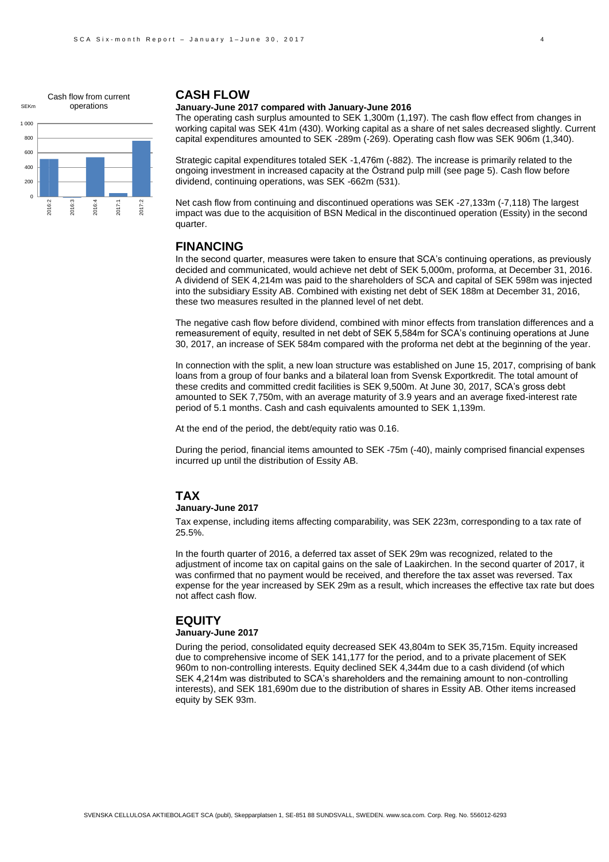

### **CASH FLOW**

### **January-June 2017 compared with January-June 2016**

The operating cash surplus amounted to SEK 1,300m (1,197). The cash flow effect from changes in working capital was SEK 41m (430). Working capital as a share of net sales decreased slightly. Current capital expenditures amounted to SEK -289m (-269). Operating cash flow was SEK 906m (1,340).

Strategic capital expenditures totaled SEK -1,476m (-882). The increase is primarily related to the ongoing investment in increased capacity at the Östrand pulp mill (see page 5). Cash flow before dividend, continuing operations, was SEK -662m (531).

Net cash flow from continuing and discontinued operations was SEK -27,133m (-7,118) The largest impact was due to the acquisition of BSN Medical in the discontinued operation (Essity) in the second quarter.

### **FINANCING**

In the second quarter, measures were taken to ensure that SCA's continuing operations, as previously decided and communicated, would achieve net debt of SEK 5,000m, proforma, at December 31, 2016. A dividend of SEK 4,214m was paid to the shareholders of SCA and capital of SEK 598m was injected into the subsidiary Essity AB. Combined with existing net debt of SEK 188m at December 31, 2016, these two measures resulted in the planned level of net debt.

The negative cash flow before dividend, combined with minor effects from translation differences and a remeasurement of equity, resulted in net debt of SEK 5,584m for SCA's continuing operations at June 30, 2017, an increase of SEK 584m compared with the proforma net debt at the beginning of the year.

In connection with the split, a new loan structure was established on June 15, 2017, comprising of bank loans from a group of four banks and a bilateral loan from Svensk Exportkredit. The total amount of these credits and committed credit facilities is SEK 9,500m. At June 30, 2017, SCA's gross debt amounted to SEK 7,750m, with an average maturity of 3.9 years and an average fixed-interest rate period of 5.1 months. Cash and cash equivalents amounted to SEK 1,139m.

At the end of the period, the debt/equity ratio was 0.16.

During the period, financial items amounted to SEK -75m (-40), mainly comprised financial expenses incurred up until the distribution of Essity AB.

### **TAX**

#### **January-June 2017**

Tax expense, including items affecting comparability, was SEK 223m, corresponding to a tax rate of 25.5%.

In the fourth quarter of 2016, a deferred tax asset of SEK 29m was recognized, related to the adjustment of income tax on capital gains on the sale of Laakirchen. In the second quarter of 2017, it was confirmed that no payment would be received, and therefore the tax asset was reversed. Tax expense for the year increased by SEK 29m as a result, which increases the effective tax rate but does not affect cash flow.

### **EQUITY**

#### **January-June 2017**

During the period, consolidated equity decreased SEK 43,804m to SEK 35,715m. Equity increased due to comprehensive income of SEK 141,177 for the period, and to a private placement of SEK 960m to non-controlling interests. Equity declined SEK 4,344m due to a cash dividend (of which SEK 4,214m was distributed to SCA's shareholders and the remaining amount to non-controlling interests), and SEK 181,690m due to the distribution of shares in Essity AB. Other items increased equity by SEK 93m.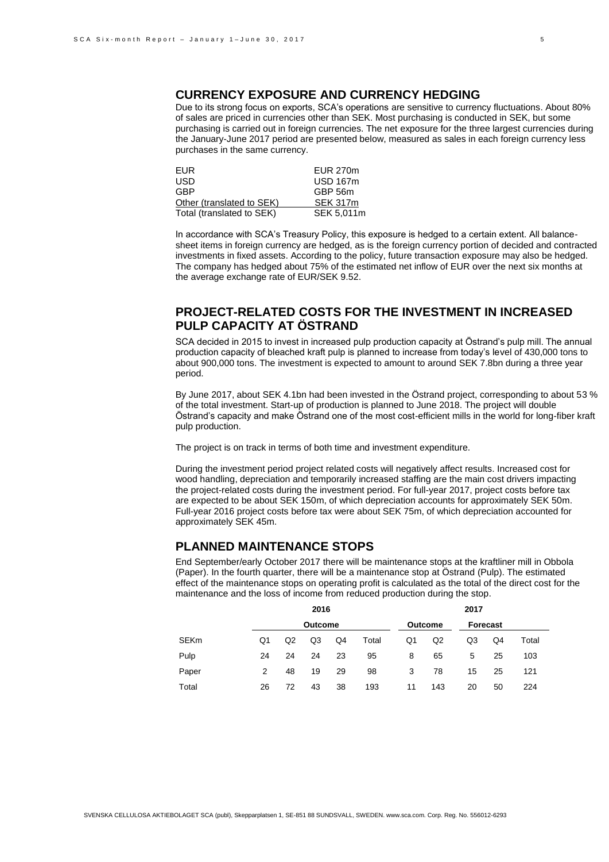### **CURRENCY EXPOSURE AND CURRENCY HEDGING**

Due to its strong focus on exports, SCA's operations are sensitive to currency fluctuations. About 80% of sales are priced in currencies other than SEK. Most purchasing is conducted in SEK, but some purchasing is carried out in foreign currencies. The net exposure for the three largest currencies during the January-June 2017 period are presented below, measured as sales in each foreign currency less purchases in the same currency.

| EUR.                      | <b>EUR 270m</b> |
|---------------------------|-----------------|
| USD                       | <b>USD 167m</b> |
| GBP                       | GBP 56m         |
| Other (translated to SEK) | <b>SEK 317m</b> |
| Total (translated to SEK) | SEK 5,011m      |

In accordance with SCA's Treasury Policy, this exposure is hedged to a certain extent. All balancesheet items in foreign currency are hedged, as is the foreign currency portion of decided and contracted investments in fixed assets. According to the policy, future transaction exposure may also be hedged. The company has hedged about 75% of the estimated net inflow of EUR over the next six months at the average exchange rate of EUR/SEK 9.52.

### **PROJECT-RELATED COSTS FOR THE INVESTMENT IN INCREASED PULP CAPACITY AT ÖSTRAND**

SCA decided in 2015 to invest in increased pulp production capacity at Östrand's pulp mill. The annual production capacity of bleached kraft pulp is planned to increase from today's level of 430,000 tons to about 900,000 tons. The investment is expected to amount to around SEK 7.8bn during a three year period.

By June 2017, about SEK 4.1bn had been invested in the Östrand project, corresponding to about 53 % of the total investment. Start-up of production is planned to June 2018. The project will double Östrand's capacity and make Östrand one of the most cost-efficient mills in the world for long-fiber kraft pulp production.

The project is on track in terms of both time and investment expenditure.

During the investment period project related costs will negatively affect results. Increased cost for wood handling, depreciation and temporarily increased staffing are the main cost drivers impacting the project-related costs during the investment period. For full-year 2017, project costs before tax are expected to be about SEK 150m, of which depreciation accounts for approximately SEK 50m. Full-year 2016 project costs before tax were about SEK 75m, of which depreciation accounted for approximately SEK 45m.

### **PLANNED MAINTENANCE STOPS**

End September/early October 2017 there will be maintenance stops at the kraftliner mill in Obbola (Paper). In the fourth quarter, there will be a maintenance stop at Östrand (Pulp). The estimated effect of the maintenance stops on operating profit is calculated as the total of the direct cost for the maintenance and the loss of income from reduced production during the stop.

|       | 2016<br>Outcome |    |    |    |                | 2017     |     |    |    |       |
|-------|-----------------|----|----|----|----------------|----------|-----|----|----|-------|
|       |                 |    |    |    | <b>Outcome</b> | Forecast |     |    |    |       |
| SEKm  | Q1              | Q2 | Q3 | Q4 | Total          | Q1       | Q2  | Q3 | Q4 | Total |
| Pulp  | 24              | 24 | 24 | 23 | 95             | 8        | 65  | 5  | 25 | 103   |
| Paper | 2               | 48 | 19 | 29 | 98             | 3        | 78  | 15 | 25 | 121   |
| Total | 26              | 72 | 43 | 38 | 193            | 11       | 143 | 20 | 50 | 224   |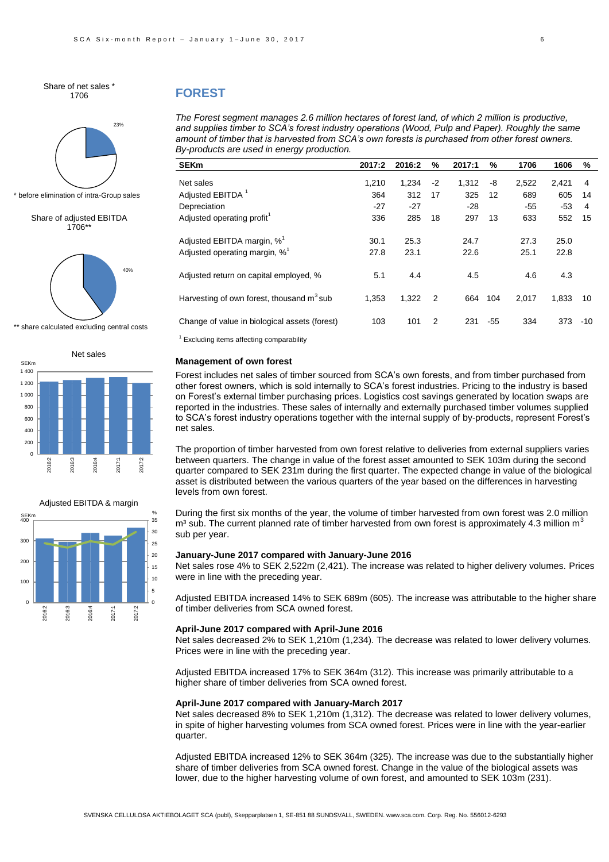Share of net sales \* 1706



before elimination of intra-Group sales

#### Share of adjusted EBITDA 1706\*\*



share calculated excluding central costs





#### **FOREST**

*The Forest segment manages 2.6 million hectares of forest land, of which 2 million is productive, and supplies timber to SCA's forest industry operations (Wood, Pulp and Paper). Roughly the same amount of timber that is harvested from SCA's own forests is purchased from other forest owners. By-products are used in energy production.* 

| SEKm                                          | 2017:2 | 2016:2 | %              | 2017:1 | $\%$  | 1706  | 1606       | %  |  |
|-----------------------------------------------|--------|--------|----------------|--------|-------|-------|------------|----|--|
| Net sales                                     | 1.210  |        | $-2$           | 1.312  |       |       |            | 4  |  |
|                                               |        | 1,234  |                |        | -8    | 2,522 | 2,421      |    |  |
| Adjusted EBITDA $^1$                          | 364    | 312    | 17             | 325    | 12    | 689   | 605        | 14 |  |
| Depreciation                                  | $-27$  | $-27$  |                | -28    |       | $-55$ | $-53$      | 4  |  |
| Adjusted operating profit <sup>1</sup>        | 336    | 285    | 18             | 297    | 13    | 633   | 552        | 15 |  |
| Adjusted EBITDA margin, $\% ^{1}$             | 30.1   | 25.3   |                | 24.7   |       | 27.3  | 25.0       |    |  |
| Adjusted operating margin, $\%^1$             | 27.8   | 23.1   |                | 22.6   |       | 25.1  | 22.8       |    |  |
| Adjusted return on capital employed, %        | 5.1    | 4.4    |                | 4.5    |       | 4.6   | 4.3        |    |  |
| Harvesting of own forest, thousand $m^3$ sub  | 1,353  | 1,322  | $\overline{2}$ | 664    | 104   | 2,017 | 1,833      | 10 |  |
| Change of value in biological assets (forest) | 103    | 101    | 2              | 231    | $-55$ | 334   | $373 - 10$ |    |  |
|                                               |        |        |                |        |       |       |            |    |  |

Excluding items affecting comparability

#### **Management of own forest**

Forest includes net sales of timber sourced from SCA's own forests, and from timber purchased from other forest owners, which is sold internally to SCA's forest industries. Pricing to the industry is based on Forest's external timber purchasing prices. Logistics cost savings generated by location swaps are reported in the industries. These sales of internally and externally purchased timber volumes supplied to SCA's forest industry operations together with the internal supply of by-products, represent Forest's net sales.

The proportion of timber harvested from own forest relative to deliveries from external suppliers varies between quarters. The change in value of the forest asset amounted to SEK 103m during the second quarter compared to SEK 231m during the first quarter. The expected change in value of the biological asset is distributed between the various quarters of the year based on the differences in harvesting levels from own forest.

During the first six months of the year, the volume of timber harvested from own forest was 2.0 million  $m<sup>3</sup>$  sub. The current planned rate of timber harvested from own forest is approximately 4.3 million m<sup>3</sup> sub per year.

#### **January-June 2017 compared with January-June 2016**

Net sales rose 4% to SEK 2,522m (2,421). The increase was related to higher delivery volumes. Prices were in line with the preceding year.

Adjusted EBITDA increased 14% to SEK 689m (605). The increase was attributable to the higher share of timber deliveries from SCA owned forest.

#### **April-June 2017 compared with April-June 2016**

Net sales decreased 2% to SEK 1,210m (1,234). The decrease was related to lower delivery volumes. Prices were in line with the preceding year.

Adjusted EBITDA increased 17% to SEK 364m (312). This increase was primarily attributable to a higher share of timber deliveries from SCA owned forest.

#### **April-June 2017 compared with January-March 2017**

Net sales decreased 8% to SEK 1,210m (1,312). The decrease was related to lower delivery volumes, in spite of higher harvesting volumes from SCA owned forest. Prices were in line with the year-earlier quarter.

Adjusted EBITDA increased 12% to SEK 364m (325). The increase was due to the substantially higher share of timber deliveries from SCA owned forest. Change in the value of the biological assets was lower, due to the higher harvesting volume of own forest, and amounted to SEK 103m (231).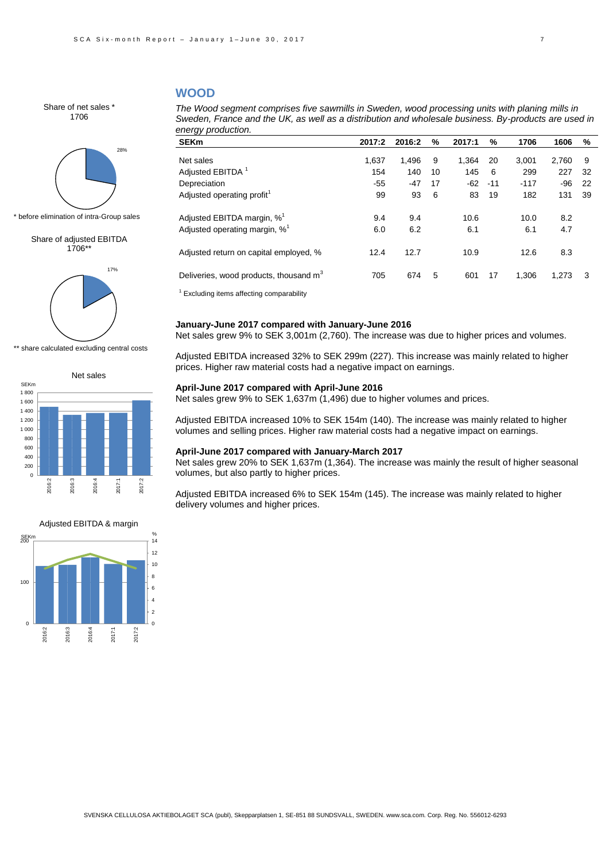### **WOOD**

Share of net sales \* 1706



\* before elimination of intra-Group sales

Share of adjusted EBITDA 1706\*\*



\*\* share calculated excluding central costs





*The Wood segment comprises five sawmills in Sweden, wood processing units with planing mills in Sweden, France and the UK, as well as a distribution and wholesale business. By-products are used in energy production.* 

| <b>SEKm</b>                                        | 2017:2 | 2016:2 | %  | 2017:1 | %     | 1706   | 1606  | %  |  |
|----------------------------------------------------|--------|--------|----|--------|-------|--------|-------|----|--|
|                                                    |        |        |    |        |       |        |       |    |  |
| Net sales                                          | 1.637  | 1.496  | 9  | 1.364  | 20    | 3.001  | 2.760 | 9  |  |
| Adjusted EBITDA <sup>1</sup>                       | 154    | 140    | 10 | 145    | 6     | 299    | 227   | 32 |  |
| Depreciation                                       | $-55$  | $-47$  | 17 | -62    | $-11$ | $-117$ | -96   | 22 |  |
| Adjusted operating profit <sup>1</sup>             | 99     | 93     | 6  | 83     | 19    | 182    | 131   | 39 |  |
| Adjusted EBITDA margin, % <sup>1</sup>             | 9.4    | 9.4    |    | 10.6   |       | 10.0   | 8.2   |    |  |
| Adjusted operating margin, % <sup>1</sup>          | 6.0    | 6.2    |    | 6.1    |       | 6.1    | 4.7   |    |  |
| Adjusted return on capital employed, %             | 12.4   | 12.7   |    | 10.9   |       | 12.6   | 8.3   |    |  |
| Deliveries, wood products, thousand m <sup>3</sup> | 705    | 674    | 5  | 601    | 17    | 1.306  | 1,273 | 3  |  |
|                                                    |        |        |    |        |       |        |       |    |  |

 $<sup>1</sup>$  Excluding items affecting comparability</sup>

#### **January-June 2017 compared with January-June 2016**

Net sales grew 9% to SEK 3,001m (2,760). The increase was due to higher prices and volumes.

Adjusted EBITDA increased 32% to SEK 299m (227). This increase was mainly related to higher prices. Higher raw material costs had a negative impact on earnings.

#### **April-June 2017 compared with April-June 2016**

Net sales grew 9% to SEK 1,637m (1,496) due to higher volumes and prices.

Adjusted EBITDA increased 10% to SEK 154m (140). The increase was mainly related to higher volumes and selling prices. Higher raw material costs had a negative impact on earnings.

#### **April-June 2017 compared with January-March 2017**

Net sales grew 20% to SEK 1,637m (1,364). The increase was mainly the result of higher seasonal volumes, but also partly to higher prices.

Adjusted EBITDA increased 6% to SEK 154m (145). The increase was mainly related to higher delivery volumes and higher prices.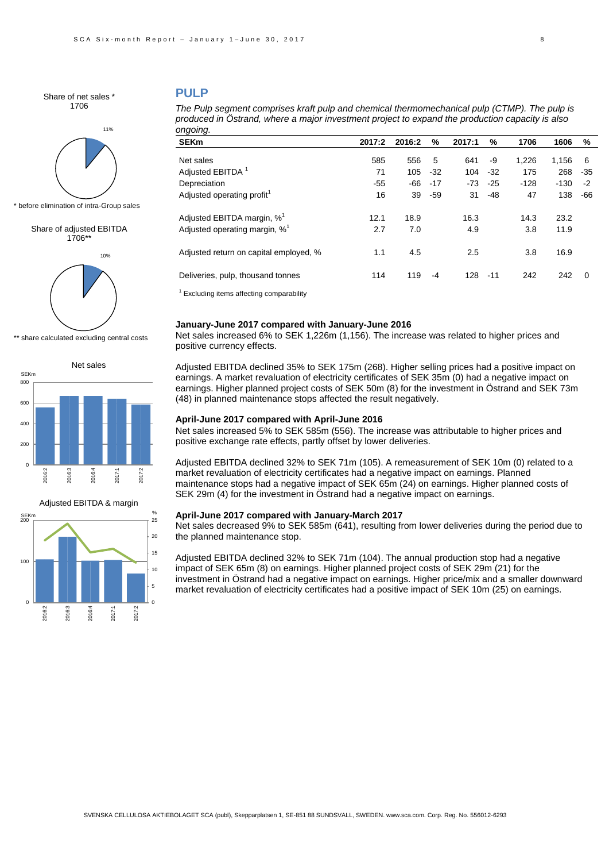Share of net sales \* 1706



\* before elimination of intra-Group sales

#### Share of adjusted EBITDA 1706\*\*



\*\* share calculated excluding central costs





### **PULP**

| The Pulp segment comprises kraft pulp and chemical thermomechanical pulp (CTMP). The pulp is    |
|-------------------------------------------------------------------------------------------------|
| produced in Ostrand, where a major investment project to expand the production capacity is also |
| ongoing.                                                                                        |

| <b>SEKm</b>                               | 2017:2 | 2016:2 | %     | 2017:1 | %     | 1706   | 1606   | %        |  |
|-------------------------------------------|--------|--------|-------|--------|-------|--------|--------|----------|--|
| Net sales                                 | 585    | 556    | -5    | 641    | -9    | 1,226  | 1.156  | -6       |  |
| Adjusted EBITDA <sup>1</sup>              | 71     | 105    | $-32$ | 104    | $-32$ | 175    | 268    | -35      |  |
| Depreciation                              | $-55$  | -66    | $-17$ | -73    | $-25$ | $-128$ | $-130$ | $-2$     |  |
| Adjusted operating profit <sup>1</sup>    | 16     | 39     | $-59$ | 31     | $-48$ | 47     | 138    | -66      |  |
| Adjusted EBITDA margin, % <sup>1</sup>    | 12.1   | 18.9   |       | 16.3   |       | 14.3   | 23.2   |          |  |
| Adjusted operating margin, % <sup>1</sup> | 2.7    | 7.0    |       | 4.9    |       | 3.8    | 11.9   |          |  |
| Adjusted return on capital employed, %    | 1.1    | 4.5    |       | 2.5    |       | 3.8    | 16.9   |          |  |
| Deliveries, pulp, thousand tonnes         | 114    | 119    | $-4$  | 128    | $-11$ | 242    | 242    | $\Omega$ |  |
|                                           |        |        |       |        |       |        |        |          |  |

Excluding items affecting comparability

#### **January-June 2017 compared with January-June 2016**

Net sales increased 6% to SEK 1,226m (1,156). The increase was related to higher prices and positive currency effects.

Adjusted EBITDA declined 35% to SEK 175m (268). Higher selling prices had a positive impact on earnings. A market revaluation of electricity certificates of SEK 35m (0) had a negative impact on earnings. Higher planned project costs of SEK 50m (8) for the investment in Östrand and SEK 73m (48) in planned maintenance stops affected the result negatively.

#### **April-June 2017 compared with April-June 2016**

Net sales increased 5% to SEK 585m (556). The increase was attributable to higher prices and positive exchange rate effects, partly offset by lower deliveries.

Adjusted EBITDA declined 32% to SEK 71m (105). A remeasurement of SEK 10m (0) related to a market revaluation of electricity certificates had a negative impact on earnings. Planned maintenance stops had a negative impact of SEK 65m (24) on earnings. Higher planned costs of SEK 29m (4) for the investment in Östrand had a negative impact on earnings.

#### **April-June 2017 compared with January-March 2017**

Net sales decreased 9% to SEK 585m (641), resulting from lower deliveries during the period due to the planned maintenance stop.

Adjusted EBITDA declined 32% to SEK 71m (104). The annual production stop had a negative impact of SEK 65m (8) on earnings. Higher planned project costs of SEK 29m (21) for the investment in Östrand had a negative impact on earnings. Higher price/mix and a smaller downward market revaluation of electricity certificates had a positive impact of SEK 10m (25) on earnings.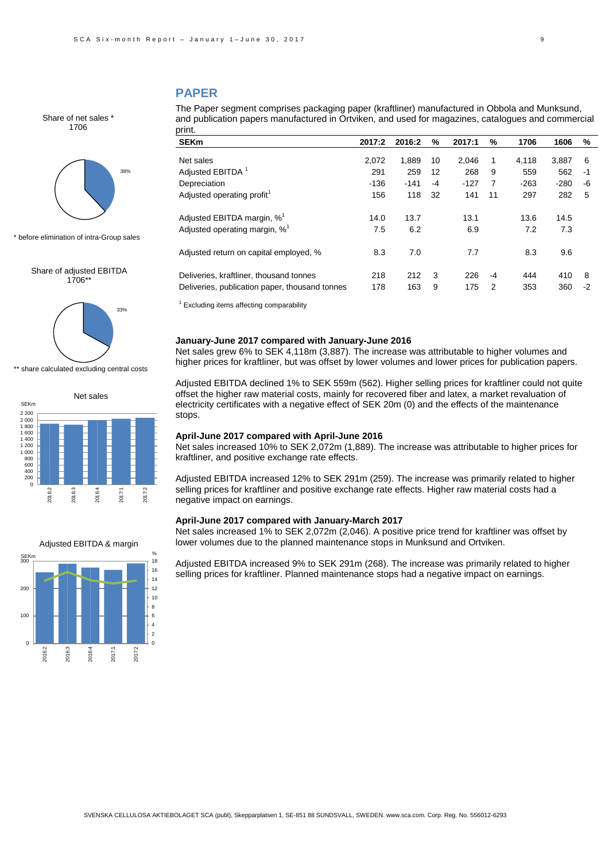### **PAPER**

Share of net sales \* 1706



\* before elimination of intra-Group sales

Share of adjusted EBITDA 1706\*\*



\*\* share calculated excluding central costs





The Paper segment comprises packaging paper (kraftliner) manufactured in Obbola and Munksund, and publication papers manufactured in Ortviken, and used for magazines, catalogues and commercial print.

| <b>SEKm</b>                                    | 2017:2 | 2016:2 | %    | 2017:1 | %  | 1706   | 1606   | %    |
|------------------------------------------------|--------|--------|------|--------|----|--------|--------|------|
| Net sales                                      | 2,072  | 1.889  | 10   | 2.046  | 1  | 4.118  | 3.887  | 6    |
| Adiusted EBITDA <sup>1</sup>                   | 291    | 259    | 12   | 268    | 9  | 559    | 562    | -1   |
| Depreciation                                   | $-136$ | $-141$ | $-4$ | $-127$ | 7  | $-263$ | $-280$ | -6   |
| Adjusted operating profit <sup>1</sup>         | 156    | 118    | 32   | 141    | 11 | 297    | 282    | 5    |
|                                                |        |        |      |        |    |        |        |      |
| Adjusted EBITDA margin, % <sup>1</sup>         | 14.0   | 13.7   |      | 13.1   |    | 13.6   | 14.5   |      |
| Adjusted operating margin, % <sup>1</sup>      | 7.5    | 6.2    |      | 6.9    |    | 7.2    | 7.3    |      |
|                                                |        |        |      |        |    |        |        |      |
| Adjusted return on capital employed, %         | 8.3    | 7.0    |      | 7.7    |    | 8.3    | 9.6    |      |
| Deliveries, kraftliner, thousand tonnes        | 218    | 212    | 3    | 226    | -4 | 444    | 410    | 8    |
| Deliveries, publication paper, thousand tonnes | 178    | 163    | 9    | 175    | 2  | 353    | 360    | $-2$ |

 $<sup>1</sup>$  Excluding items affecting comparability</sup>

### **January-June 2017 compared with January-June 2016**

Net sales grew 6% to SEK 4,118m (3,887). The increase was attributable to higher volumes and higher prices for kraftliner, but was offset by lower volumes and lower prices for publication papers.

Adjusted EBITDA declined 1% to SEK 559m (562). Higher selling prices for kraftliner could not quite offset the higher raw material costs, mainly for recovered fiber and latex, a market revaluation of electricity certificates with a negative effect of SEK 20m (0) and the effects of the maintenance stops.

#### **April-June 2017 compared with April-June 2016**

Net sales increased 10% to SEK 2,072m (1,889). The increase was attributable to higher prices for kraftliner, and positive exchange rate effects.

Adjusted EBITDA increased 12% to SEK 291m (259). The increase was primarily related to higher selling prices for kraftliner and positive exchange rate effects. Higher raw material costs had a negative impact on earnings.

#### **April-June 2017 compared with January-March 2017**

Net sales increased 1% to SEK 2,072m (2,046). A positive price trend for kraftliner was offset by lower volumes due to the planned maintenance stops in Munksund and Ortviken.

Adjusted EBITDA increased 9% to SEK 291m (268). The increase was primarily related to higher selling prices for kraftliner. Planned maintenance stops had a negative impact on earnings.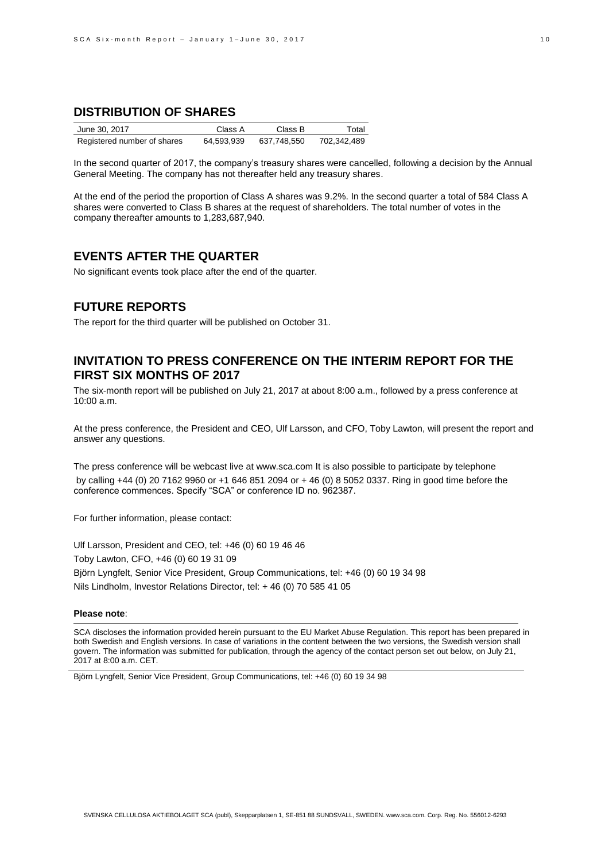## **DISTRIBUTION OF SHARES**

| June 30, 2017               | Class A    | Class B     | Total       |
|-----------------------------|------------|-------------|-------------|
| Registered number of shares | 64.593.939 | 637.748.550 | 702,342,489 |

In the second quarter of 2017, the company's treasury shares were cancelled, following a decision by the Annual General Meeting. The company has not thereafter held any treasury shares.

At the end of the period the proportion of Class A shares was 9.2%. In the second quarter a total of 584 Class A shares were converted to Class B shares at the request of shareholders. The total number of votes in the company thereafter amounts to 1,283,687,940.

### **EVENTS AFTER THE QUARTER**

No significant events took place after the end of the quarter.

### **FUTURE REPORTS**

The report for the third quarter will be published on October 31.

### **INVITATION TO PRESS CONFERENCE ON THE INTERIM REPORT FOR THE FIRST SIX MONTHS OF 2017**

The six-month report will be published on July 21, 2017 at about 8:00 a.m., followed by a press conference at 10:00 a.m.

At the press conference, the President and CEO, Ulf Larsson, and CFO, Toby Lawton, will present the report and answer any questions.

The press conference will be webcast live at www.sca.com It is also possible to participate by telephone by calling +44 (0) 20 7162 9960 or +1 646 851 2094 or + 46 (0) 8 5052 0337. Ring in good time before the conference commences. Specify "SCA" or conference ID no. 962387.

For further information, please contact:

Ulf Larsson, President and CEO, tel: +46 (0) 60 19 46 46 Toby Lawton, CFO, +46 (0) 60 19 31 09 Björn Lyngfelt, Senior Vice President, Group Communications, tel: +46 (0) 60 19 34 98 Nils Lindholm, Investor Relations Director, tel: + 46 (0) 70 585 41 05

#### **Please note**:

SCA discloses the information provided herein pursuant to the EU Market Abuse Regulation. This report has been prepared in both Swedish and English versions. In case of variations in the content between the two versions, the Swedish version shall govern. The information was submitted for publication, through the agency of the contact person set out below, on July 21, 2017 at 8:00 a.m. CET.

Björn Lyngfelt, Senior Vice President, Group Communications, tel: +46 (0) 60 19 34 98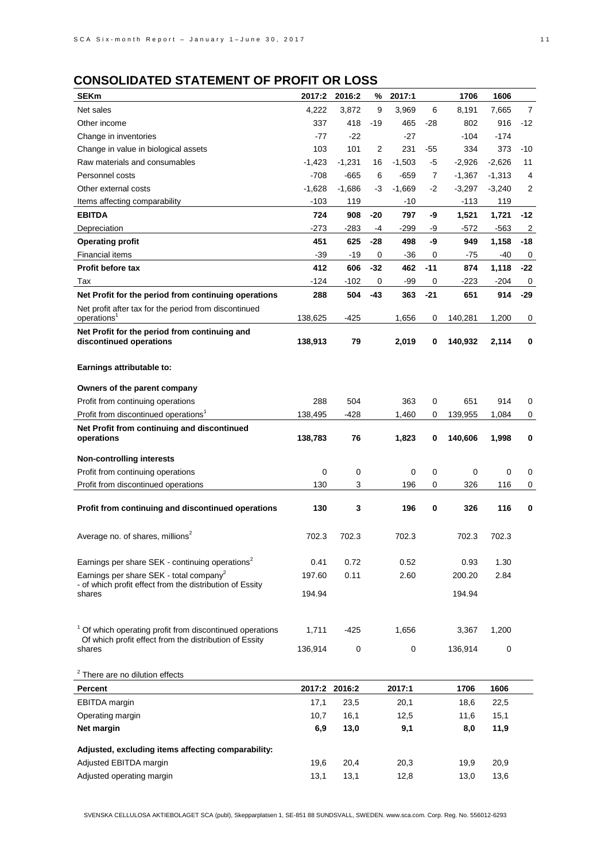# **CONSOLIDATED STATEMENT OF PROFIT OR LOSS**

| <b>SEKm</b>                                                                                                     | 2017:2        | 2016:2      | %              | 2017:1    |       | 1706     | 1606     |                |
|-----------------------------------------------------------------------------------------------------------------|---------------|-------------|----------------|-----------|-------|----------|----------|----------------|
| Net sales                                                                                                       | 4,222         | 3,872       | 9              | 3,969     | 6     | 8,191    | 7,665    | $\overline{7}$ |
| Other income                                                                                                    | 337           | 418         | $-19$          | 465       | $-28$ | 802      | 916      | -12            |
| Change in inventories                                                                                           | $-77$         | $-22$       |                | -27       |       | $-104$   | $-174$   |                |
| Change in value in biological assets                                                                            | 103           | 101         | $\overline{2}$ | 231       | $-55$ | 334      | 373      | $-10$          |
| Raw materials and consumables                                                                                   | $-1,423$      | $-1,231$    | 16             | $-1,503$  | -5    | $-2,926$ | $-2,626$ | 11             |
| Personnel costs                                                                                                 | $-708$        | $-665$      | 6              | -659      | 7     | $-1,367$ | $-1,313$ | 4              |
| Other external costs                                                                                            | $-1,628$      | $-1,686$    | -3             | $-1,669$  | $-2$  | $-3,297$ | $-3,240$ | 2              |
| Items affecting comparability                                                                                   | $-103$        | 119         |                | -10       |       | $-113$   | 119      |                |
| <b>EBITDA</b>                                                                                                   | 724           | 908         | -20            | 797       | -9    | 1,521    | 1,721    | -12            |
| Depreciation                                                                                                    | $-273$        | $-283$      | $-4$           | $-299$    | -9    | -572     | -563     | $\overline{2}$ |
| <b>Operating profit</b>                                                                                         | 451           | 625         | -28            | 498       | -9    | 949      | 1,158    | -18            |
| Financial items                                                                                                 | $-39$         | -19         | 0              | -36       | 0     | -75      | -40      | 0              |
| <b>Profit before tax</b>                                                                                        | 412           | 606         | $-32$          | 462       | $-11$ | 874      | 1,118    | -22            |
| Tax                                                                                                             | $-124$        | $-102$      | 0              | -99       | 0     | -223     | $-204$   | 0              |
| Net Profit for the period from continuing operations                                                            | 288           | 504         | $-43$          | 363       | $-21$ | 651      | 914      | -29            |
| Net profit after tax for the period from discontinued                                                           |               |             |                |           |       |          |          |                |
| operations <sup>1</sup>                                                                                         | 138,625       | -425        |                | 1,656     | 0     | 140,281  | 1,200    | 0              |
| Net Profit for the period from continuing and<br>discontinued operations                                        | 138,913       | 79          |                | 2,019     | 0     | 140,932  | 2,114    | 0              |
|                                                                                                                 |               |             |                |           |       |          |          |                |
| Earnings attributable to:                                                                                       |               |             |                |           |       |          |          |                |
|                                                                                                                 |               |             |                |           |       |          |          |                |
| Owners of the parent company                                                                                    |               |             |                |           |       |          |          |                |
| Profit from continuing operations                                                                               | 288           | 504         |                | 363       | 0     | 651      | 914      | 0              |
| Profit from discontinued operations <sup>1</sup>                                                                | 138,495       | -428        |                | 1,460     | 0     | 139,955  | 1,084    | 0              |
| Net Profit from continuing and discontinued                                                                     |               |             |                |           |       |          |          |                |
| operations                                                                                                      | 138,783       | 76          |                | 1,823     | 0     | 140,606  | 1,998    | 0              |
| <b>Non-controlling interests</b>                                                                                |               |             |                |           |       |          |          |                |
| Profit from continuing operations                                                                               | 0             | 0           |                | 0         | 0     | 0        | 0        | 0              |
| Profit from discontinued operations                                                                             | 130           | 3           |                | 196       | 0     | 326      | 116      | 0              |
|                                                                                                                 |               |             |                |           |       |          |          |                |
| Profit from continuing and discontinued operations                                                              | 130           | 3           |                | 196       | 0     | 326      | 116      | 0              |
|                                                                                                                 |               |             |                |           |       |          |          |                |
| Average no. of shares, millions <sup>2</sup>                                                                    | 702.3         | 702.3       |                | 702.3     |       | 702.3    | 702.3    |                |
|                                                                                                                 |               |             |                |           |       |          |          |                |
| Earnings per share SEK - continuing operations <sup>2</sup>                                                     | 0.41          | 0.72        |                | 0.52      |       | 0.93     | 1.30     |                |
| Earnings per share SEK - total company <sup>2</sup><br>- of which profit effect from the distribution of Essity | 197.60        | 0.11        |                | 2.60      |       | 200.20   | 2.84     |                |
| shares                                                                                                          | 194.94        |             |                |           |       | 194.94   |          |                |
|                                                                                                                 |               |             |                |           |       |          |          |                |
|                                                                                                                 |               |             |                |           |       |          |          |                |
| <sup>1</sup> Of which operating profit from discontinued operations                                             | 1,711         | $-425$      |                | 1,656     |       | 3,367    | 1,200    |                |
| Of which profit effect from the distribution of Essity<br>shares                                                | 136,914       | $\mathbf 0$ |                | $\pmb{0}$ |       | 136,914  | 0        |                |
|                                                                                                                 |               |             |                |           |       |          |          |                |
| <sup>2</sup> There are no dilution effects                                                                      |               |             |                |           |       |          |          |                |
| Percent                                                                                                         | 2017:2 2016:2 |             |                | 2017:1    |       | 1706     | 1606     |                |
| EBITDA margin                                                                                                   | 17,1          | 23,5        |                | 20,1      |       | 18,6     | 22,5     |                |
| Operating margin                                                                                                | 10,7          | 16,1        |                | 12,5      |       | 11,6     | 15,1     |                |
| Net margin                                                                                                      | 6,9           | 13,0        |                | 9,1       |       | 8,0      | 11,9     |                |
|                                                                                                                 |               |             |                |           |       |          |          |                |
| Adjusted, excluding items affecting comparability:                                                              |               |             |                |           |       |          |          |                |
| Adjusted EBITDA margin                                                                                          | 19,6          | 20,4        |                | 20,3      |       | 19,9     | 20,9     |                |
| Adjusted operating margin                                                                                       | 13,1          | 13,1        |                | 12,8      |       | 13,0     | 13,6     |                |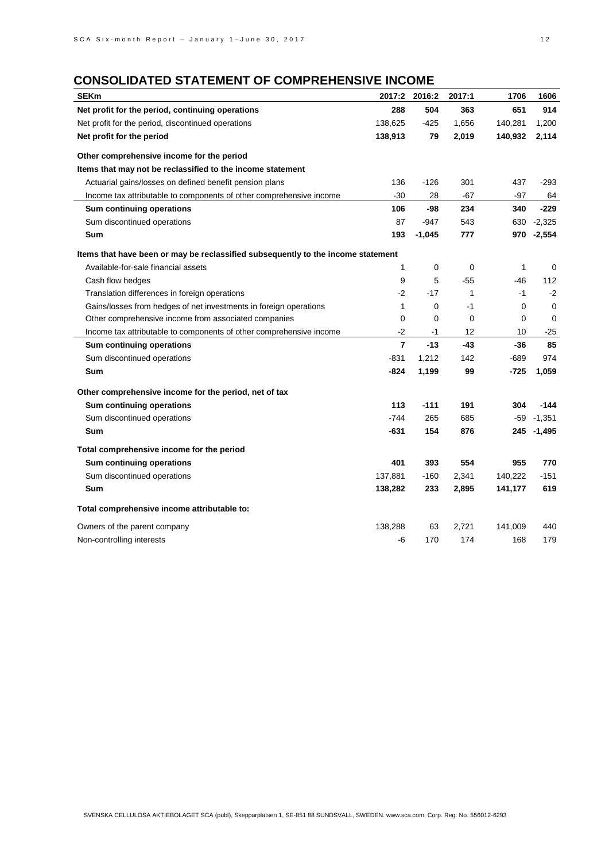# **CONSOLIDATED STATEMENT OF COMPREHENSIVE INCOME**

| <b>SEKm</b>                                                                      | 2017:2         | 2016:2      | 2017:1 | 1706        | 1606     |
|----------------------------------------------------------------------------------|----------------|-------------|--------|-------------|----------|
| Net profit for the period, continuing operations                                 | 288            | 504         | 363    | 651         | 914      |
| Net profit for the period, discontinued operations                               | 138,625        | $-425$      | 1,656  | 140,281     | 1,200    |
| Net profit for the period                                                        | 138,913        | 79          | 2,019  | 140,932     | 2,114    |
| Other comprehensive income for the period                                        |                |             |        |             |          |
| Items that may not be reclassified to the income statement                       |                |             |        |             |          |
| Actuarial gains/losses on defined benefit pension plans                          | 136            | $-126$      | 301    | 437         | $-293$   |
| Income tax attributable to components of other comprehensive income              | $-30$          | 28          | -67    | -97         | 64       |
| Sum continuing operations                                                        | 106            | -98         | 234    | 340         | $-229$   |
| Sum discontinued operations                                                      | 87             | $-947$      | 543    | 630         | $-2,325$ |
| Sum                                                                              | 193            | $-1,045$    | 777    | 970         | $-2,554$ |
| Items that have been or may be reclassified subsequently to the income statement |                |             |        |             |          |
| Available-for-sale financial assets                                              | 1              | 0           | 0      | 1           | 0        |
| Cash flow hedges                                                                 | 9              | 5           | -55    | -46         | 112      |
| Translation differences in foreign operations                                    | $-2$           | $-17$       | 1      | $-1$        | $-2$     |
| Gains/losses from hedges of net investments in foreign operations                | 1              | 0           | $-1$   | $\mathbf 0$ | 0        |
| Other comprehensive income from associated companies                             |                | $\mathbf 0$ | 0      | 0           | 0        |
| Income tax attributable to components of other comprehensive income              | $-2$           | $-1$        | 12     | 10          | $-25$    |
| Sum continuing operations                                                        | $\overline{7}$ | $-13$       | -43    | -36         | 85       |
| Sum discontinued operations                                                      | $-831$         | 1,212       | 142    | $-689$      | 974      |
| Sum                                                                              | $-824$         | 1,199       | 99     | -725        | 1,059    |
| Other comprehensive income for the period, net of tax                            |                |             |        |             |          |
| Sum continuing operations                                                        | 113            | $-111$      | 191    | 304         | $-144$   |
| Sum discontinued operations                                                      | $-744$         | 265         | 685    | $-59$       | $-1,351$ |
| Sum                                                                              | $-631$         | 154         | 876    | 245         | $-1,495$ |
| Total comprehensive income for the period                                        |                |             |        |             |          |
| Sum continuing operations                                                        | 401            | 393         | 554    | 955         | 770      |
| Sum discontinued operations                                                      | 137,881        | $-160$      | 2,341  | 140,222     | $-151$   |
| Sum                                                                              | 138,282        | 233         | 2,895  | 141,177     | 619      |
| Total comprehensive income attributable to:                                      |                |             |        |             |          |
| Owners of the parent company                                                     | 138,288        | 63          | 2,721  | 141,009     | 440      |
| Non-controlling interests                                                        | -6             | 170         | 174    | 168         | 179      |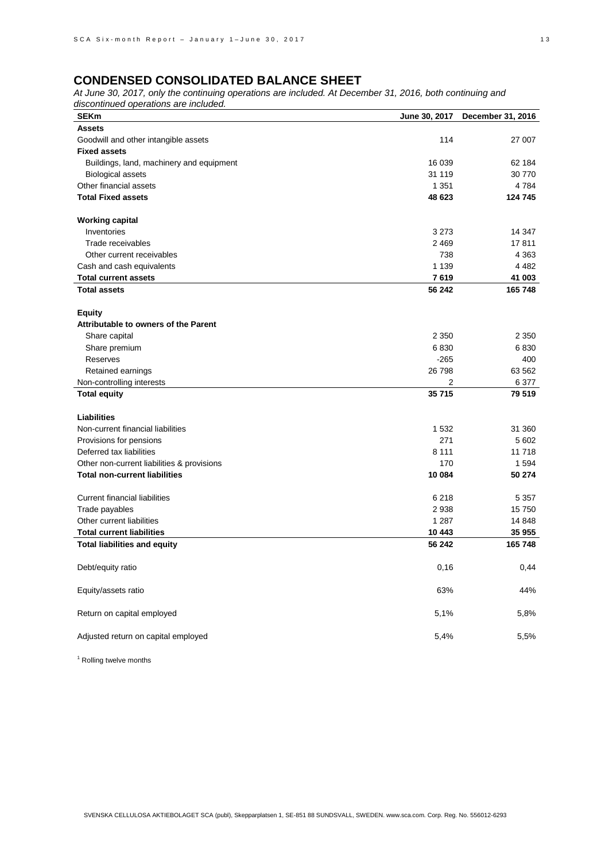*At June 30, 2017, only the continuing operations are included. At December 31, 2016, both continuing and discontinued operations are included.*

| <b>SEKm</b>                                | June 30, 2017 | December 31, 2016 |
|--------------------------------------------|---------------|-------------------|
| <b>Assets</b>                              |               |                   |
| Goodwill and other intangible assets       | 114           | 27 007            |
| <b>Fixed assets</b>                        |               |                   |
| Buildings, land, machinery and equipment   | 16 039        | 62 184            |
| <b>Biological assets</b>                   | 31 119        | 30 770            |
| Other financial assets                     | 1 3 5 1       | 4784              |
| <b>Total Fixed assets</b>                  | 48 623        | 124 745           |
|                                            |               |                   |
| <b>Working capital</b>                     |               |                   |
| Inventories                                | 3 2 7 3       | 14 347            |
| Trade receivables                          | 2 4 6 9       | 17811             |
| Other current receivables                  | 738           | 4 3 6 3           |
| Cash and cash equivalents                  | 1 1 3 9       | 4 4 8 2           |
| <b>Total current assets</b>                | 7619          | 41 003            |
| <b>Total assets</b>                        | 56 242        | 165748            |
|                                            |               |                   |
| <b>Equity</b>                              |               |                   |
| Attributable to owners of the Parent       |               |                   |
| Share capital                              | 2 3 5 0       | 2 3 5 0           |
| Share premium                              | 6830          | 6830              |
| Reserves                                   | $-265$        | 400               |
| Retained earnings                          | 26 798        | 63 562            |
| Non-controlling interests                  | 2             | 6377              |
| <b>Total equity</b>                        | 35 715        | 79519             |
|                                            |               |                   |
| <b>Liabilities</b>                         |               |                   |
| Non-current financial liabilities          | 1532          | 31 360            |
| Provisions for pensions                    | 271           | 5 602             |
| Deferred tax liabilities                   | 8 1 1 1       | 11718             |
| Other non-current liabilities & provisions | 170           | 1594              |
| <b>Total non-current liabilities</b>       | 10 084        | 50 274            |
|                                            |               |                   |
| <b>Current financial liabilities</b>       | 6 2 1 8       | 5 3 5 7           |
| Trade payables                             | 2938          | 15750             |
| Other current liabilities                  | 1 2 8 7       | 14 848            |
| <b>Total current liabilities</b>           | 10 443        | 35 955            |
| <b>Total liabilities and equity</b>        | 56 242        | 165748            |
|                                            |               |                   |
| Debt/equity ratio                          | 0,16          | 0,44              |
|                                            |               |                   |
| Equity/assets ratio                        | 63%           | 44%               |
|                                            |               |                   |
| Return on capital employed                 | 5,1%          | 5,8%              |
|                                            |               |                   |
| Adjusted return on capital employed        | 5,4%          | 5,5%              |

<sup>1</sup> Rolling twelve months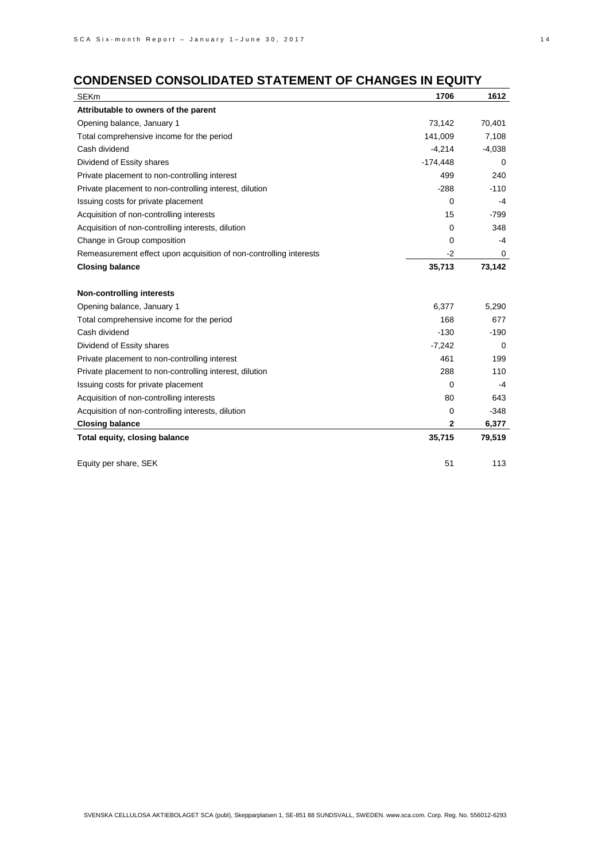# **CONDENSED CONSOLIDATED STATEMENT OF CHANGES IN EQUITY**

| <b>SEKm</b>                                                        | 1706        | 1612        |
|--------------------------------------------------------------------|-------------|-------------|
| Attributable to owners of the parent                               |             |             |
| Opening balance, January 1                                         | 73,142      | 70,401      |
| Total comprehensive income for the period                          | 141,009     | 7,108       |
| Cash dividend                                                      | $-4,214$    | $-4,038$    |
| Dividend of Essity shares                                          | $-174,448$  | 0           |
| Private placement to non-controlling interest                      | 499         | 240         |
| Private placement to non-controlling interest, dilution            | $-288$      | $-110$      |
| Issuing costs for private placement                                | 0           | -4          |
| Acquisition of non-controlling interests                           | 15          | $-799$      |
| Acquisition of non-controlling interests, dilution                 | 0           | 348         |
| Change in Group composition                                        | 0           | -4          |
| Remeasurement effect upon acquisition of non-controlling interests | $-2$        | 0           |
| <b>Closing balance</b>                                             | 35,713      | 73,142      |
|                                                                    |             |             |
| <b>Non-controlling interests</b>                                   |             |             |
| Opening balance, January 1                                         | 6,377       | 5,290       |
| Total comprehensive income for the period                          | 168         | 677         |
| Cash dividend                                                      | $-130$      | $-190$      |
| Dividend of Essity shares                                          | $-7,242$    | $\mathbf 0$ |
| Private placement to non-controlling interest                      | 461         | 199         |
| Private placement to non-controlling interest, dilution            | 288         | 110         |
| Issuing costs for private placement                                | 0           | -4          |
| Acquisition of non-controlling interests                           | 80          | 643         |
| Acquisition of non-controlling interests, dilution                 | 0           | $-348$      |
| <b>Closing balance</b>                                             | $\mathbf 2$ | 6,377       |
| Total equity, closing balance                                      | 35,715      | 79,519      |
|                                                                    |             |             |
| Equity per share, SEK                                              | 51          | 113         |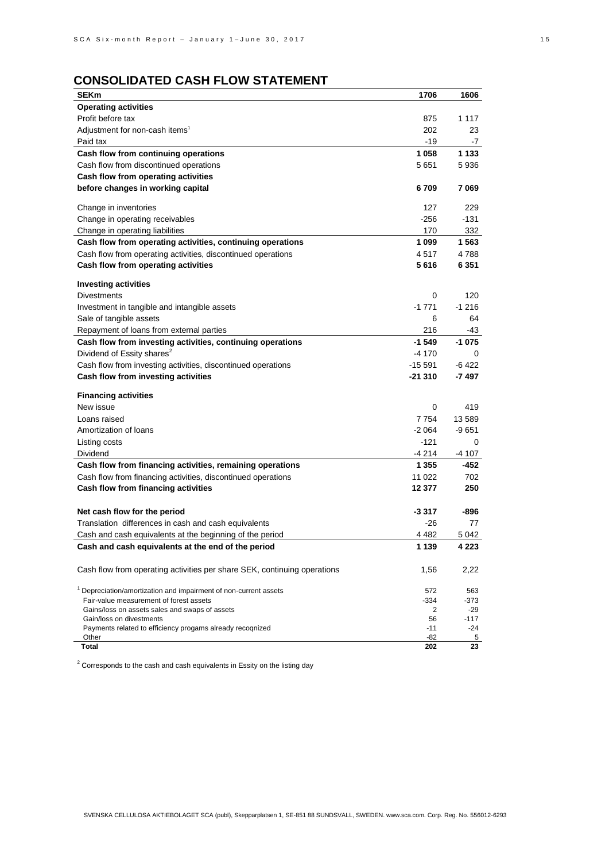# **CONSOLIDATED CASH FLOW STATEMENT**

| <b>SEKm</b>                                                                               | 1706      | 1606            |
|-------------------------------------------------------------------------------------------|-----------|-----------------|
| <b>Operating activities</b>                                                               |           |                 |
| Profit before tax                                                                         | 875       | 1 1 1 7         |
| Adjustment for non-cash items <sup>1</sup>                                                | 202       | 23              |
| Paid tax                                                                                  | -19       | -7              |
| Cash flow from continuing operations                                                      | 1058      | 1 133           |
| Cash flow from discontinued operations                                                    | 5651      | 5936            |
| Cash flow from operating activities                                                       |           |                 |
| before changes in working capital                                                         | 6709      | 7069            |
| Change in inventories                                                                     | 127       | 229             |
| Change in operating receivables                                                           | $-256$    | $-131$          |
| Change in operating liabilities                                                           | 170       | 332             |
| Cash flow from operating activities, continuing operations                                | 1 0 9 9   | 1 563           |
| Cash flow from operating activities, discontinued operations                              | 4517      | 4788            |
| Cash flow from operating activities                                                       | 5 616     | 6 351           |
| <b>Investing activities</b>                                                               |           |                 |
| <b>Divestments</b>                                                                        | 0         | 120             |
| Investment in tangible and intangible assets                                              | $-1771$   | $-1216$         |
| Sale of tangible assets                                                                   | 6         | 64              |
| Repayment of loans from external parties                                                  | 216       | -43             |
| Cash flow from investing activities, continuing operations                                | $-1.549$  | -1 075          |
| Dividend of Essity shares <sup>2</sup>                                                    | $-4170$   | 0               |
| Cash flow from investing activities, discontinued operations                              | -15 591   | $-6422$         |
| Cash flow from investing activities                                                       | -21 310   | -7 497          |
| <b>Financing activities</b>                                                               |           |                 |
| New issue                                                                                 | 0         | 419             |
| Loans raised                                                                              | 7 7 5 4   | 13 589          |
| Amortization of loans                                                                     | -2 064    | -9 651          |
| Listing costs                                                                             | -121      | 0               |
| Dividend                                                                                  | -4 214    | -4 107          |
| Cash flow from financing activities, remaining operations                                 | 1 3 5 5   | -452            |
| Cash flow from financing activities, discontinued operations                              | 11 022    | 702             |
| Cash flow from financing activities                                                       | 12 377    | 250             |
| Net cash flow for the period                                                              | -3 317    | -896            |
| Translation differences in cash and cash equivalents                                      | $-26$     | 77              |
| Cash and cash equivalents at the beginning of the period                                  | 4 4 8 2   | 5 042           |
| Cash and cash equivalents at the end of the period                                        | 1 1 3 9   | 4 2 2 3         |
|                                                                                           |           |                 |
| Cash flow from operating activities per share SEK, continuing operations                  | 1,56      | 2,22            |
| <sup>1</sup> Depreciation/amortization and impairment of non-current assets               | 572       | 563             |
| Fair-value measurement of forest assets<br>Gains/loss on assets sales and swaps of assets | -334<br>2 | $-373$<br>$-29$ |
| Gain/loss on divestments                                                                  | 56        | $-117$          |
| Payments related to efficiency progams already recognized                                 | $-11$     | $-24$           |
| Other                                                                                     | -82       | 5               |
| Total                                                                                     | 202       | 23              |

 $2$  Corresponds to the cash and cash equivalents in Essity on the listing day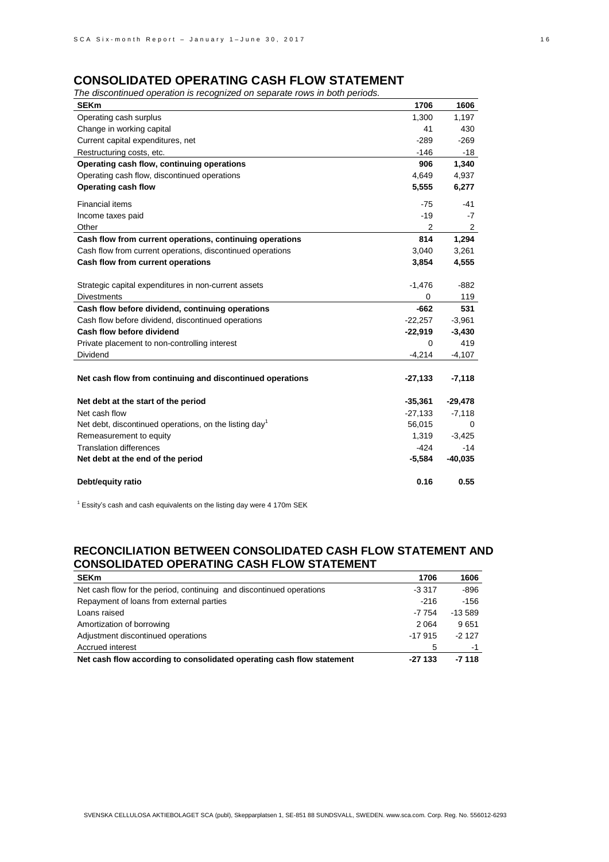### **CONSOLIDATED OPERATING CASH FLOW STATEMENT**

*The discontinued operation is recognized on separate rows in both periods.*

| <b>SEKm</b>                                                                     | 1706        | 1606       |
|---------------------------------------------------------------------------------|-------------|------------|
| Operating cash surplus                                                          | 1,300       | 1,197      |
| Change in working capital                                                       | 41          | 430        |
| Current capital expenditures, net                                               | $-289$      | $-269$     |
| Restructuring costs, etc.                                                       | $-146$      | -18        |
| Operating cash flow, continuing operations                                      | 906         | 1,340      |
| Operating cash flow, discontinued operations                                    | 4,649       | 4,937      |
| Operating cash flow                                                             | 5,555       | 6,277      |
| <b>Financial items</b>                                                          | $-75$       | -41        |
| Income taxes paid                                                               | $-19$       | $-7$       |
| Other                                                                           | 2           | 2          |
| Cash flow from current operations, continuing operations                        | 814         | 1,294      |
| Cash flow from current operations, discontinued operations                      | 3,040       | 3,261      |
| Cash flow from current operations                                               | 3,854       | 4,555      |
|                                                                                 |             |            |
| Strategic capital expenditures in non-current assets                            | $-1,476$    | $-882$     |
| <b>Divestments</b>                                                              | 0<br>$-662$ | 119<br>531 |
| Cash flow before dividend, continuing operations                                | $-22,257$   |            |
| Cash flow before dividend, discontinued operations<br>Cash flow before dividend |             | $-3,961$   |
|                                                                                 | $-22,919$   | $-3,430$   |
| Private placement to non-controlling interest                                   | 0           | 419        |
| Dividend                                                                        | $-4,214$    | $-4,107$   |
| Net cash flow from continuing and discontinued operations                       | $-27,133$   | $-7,118$   |
| Net debt at the start of the period                                             | $-35,361$   | $-29,478$  |
| Net cash flow                                                                   | $-27,133$   | $-7,118$   |
| Net debt, discontinued operations, on the listing day <sup>1</sup>              | 56,015      | 0          |
| Remeasurement to equity                                                         | 1,319       | $-3,425$   |
| <b>Translation differences</b>                                                  | $-424$      | $-14$      |
| Net debt at the end of the period                                               | $-5,584$    | $-40,035$  |
| Debt/equity ratio                                                               | 0.16        | 0.55       |

 $1$  Essity's cash and cash equivalents on the listing day were 4 170m SEK

### **RECONCILIATION BETWEEN CONSOLIDATED CASH FLOW STATEMENT AND CONSOLIDATED OPERATING CASH FLOW STATEMENT**

| <b>SEKm</b>                                                           | 1706     | 1606      |
|-----------------------------------------------------------------------|----------|-----------|
| Net cash flow for the period, continuing and discontinued operations  | $-3.317$ | $-896$    |
| Repayment of loans from external parties                              | $-216$   | $-156$    |
| Loans raised                                                          | $-7754$  | $-13.589$ |
| Amortization of borrowing                                             | 2 0 6 4  | 9651      |
| Adjustment discontinued operations                                    | $-17915$ | $-2127$   |
| Accrued interest                                                      | 5        | -1        |
| Net cash flow according to consolidated operating cash flow statement | $-27133$ | $-7118$   |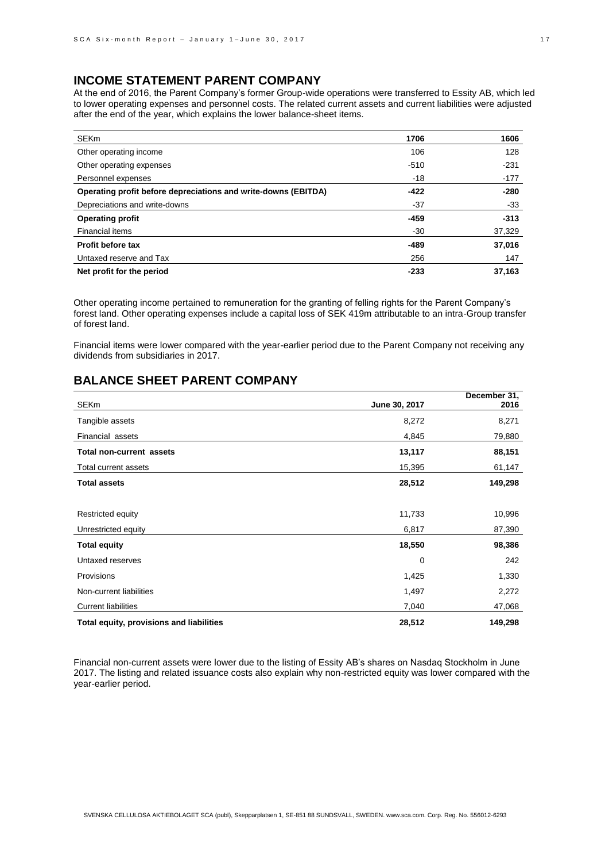## **INCOME STATEMENT PARENT COMPANY**

At the end of 2016, the Parent Company's former Group-wide operations were transferred to Essity AB, which led to lower operating expenses and personnel costs. The related current assets and current liabilities were adjusted after the end of the year, which explains the lower balance-sheet items.

| SEKm                                                           | 1706   | 1606   |
|----------------------------------------------------------------|--------|--------|
| Other operating income                                         | 106    | 128    |
| Other operating expenses                                       | $-510$ | $-231$ |
| Personnel expenses                                             | -18    | $-177$ |
| Operating profit before depreciations and write-downs (EBITDA) | $-422$ | $-280$ |
| Depreciations and write-downs                                  | -37    | -33    |
| <b>Operating profit</b>                                        | $-459$ | $-313$ |
| Financial items                                                | $-30$  | 37,329 |
| <b>Profit before tax</b>                                       | $-489$ | 37,016 |
| Untaxed reserve and Tax                                        | 256    | 147    |
| Net profit for the period                                      | $-233$ | 37,163 |

Other operating income pertained to remuneration for the granting of felling rights for the Parent Company's forest land. Other operating expenses include a capital loss of SEK 419m attributable to an intra-Group transfer of forest land.

Financial items were lower compared with the year-earlier period due to the Parent Company not receiving any dividends from subsidiaries in 2017.

# **BALANCE SHEET PARENT COMPANY**

| <b>SEKm</b>                              | June 30, 2017 | December 31,<br>2016 |
|------------------------------------------|---------------|----------------------|
| Tangible assets                          | 8,272         | 8,271                |
| Financial assets                         | 4,845         | 79,880               |
| <b>Total non-current assets</b>          | 13,117        | 88,151               |
| Total current assets                     | 15,395        | 61,147               |
| <b>Total assets</b>                      | 28,512        | 149,298              |
|                                          |               |                      |
| Restricted equity                        | 11,733        | 10,996               |
| Unrestricted equity                      | 6,817         | 87,390               |
| <b>Total equity</b>                      | 18,550        | 98,386               |
| Untaxed reserves                         | 0             | 242                  |
| Provisions                               | 1,425         | 1,330                |
| Non-current liabilities                  | 1,497         | 2,272                |
| <b>Current liabilities</b>               | 7,040         | 47,068               |
| Total equity, provisions and liabilities | 28,512        | 149,298              |

Financial non-current assets were lower due to the listing of Essity AB's shares on Nasdaq Stockholm in June 2017. The listing and related issuance costs also explain why non-restricted equity was lower compared with the year-earlier period.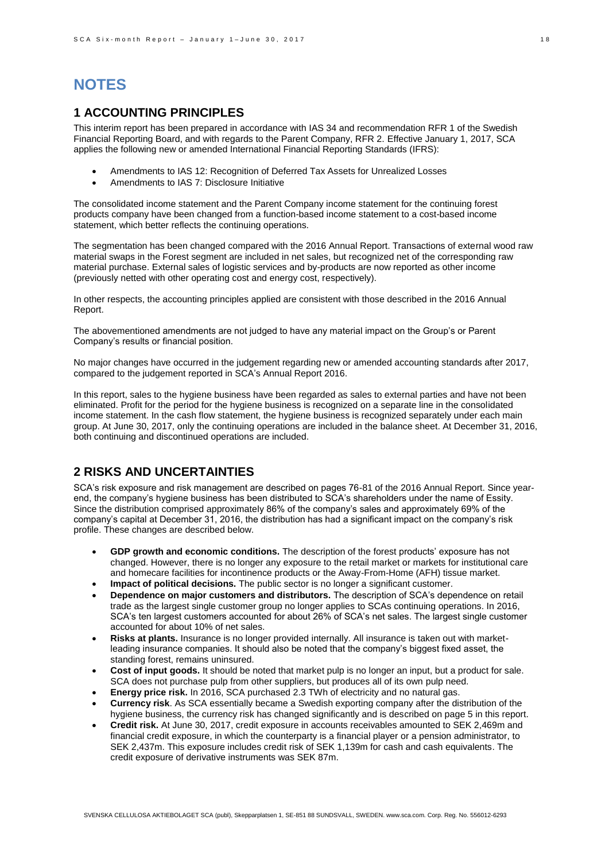# **NOTES**

### **1 ACCOUNTING PRINCIPLES**

This interim report has been prepared in accordance with IAS 34 and recommendation RFR 1 of the Swedish Financial Reporting Board, and with regards to the Parent Company, RFR 2. Effective January 1, 2017, SCA applies the following new or amended International Financial Reporting Standards (IFRS):

- Amendments to IAS 12: Recognition of Deferred Tax Assets for Unrealized Losses
- Amendments to IAS 7: Disclosure Initiative

The consolidated income statement and the Parent Company income statement for the continuing forest products company have been changed from a function-based income statement to a cost-based income statement, which better reflects the continuing operations.

The segmentation has been changed compared with the 2016 Annual Report. Transactions of external wood raw material swaps in the Forest segment are included in net sales, but recognized net of the corresponding raw material purchase. External sales of logistic services and by-products are now reported as other income (previously netted with other operating cost and energy cost, respectively).

In other respects, the accounting principles applied are consistent with those described in the 2016 Annual Report.

The abovementioned amendments are not judged to have any material impact on the Group's or Parent Company's results or financial position.

No major changes have occurred in the judgement regarding new or amended accounting standards after 2017, compared to the judgement reported in SCA's Annual Report 2016.

In this report, sales to the hygiene business have been regarded as sales to external parties and have not been eliminated. Profit for the period for the hygiene business is recognized on a separate line in the consolidated income statement. In the cash flow statement, the hygiene business is recognized separately under each main group. At June 30, 2017, only the continuing operations are included in the balance sheet. At December 31, 2016, both continuing and discontinued operations are included.

### **2 RISKS AND UNCERTAINTIES**

SCA's risk exposure and risk management are described on pages 76-81 of the 2016 Annual Report. Since yearend, the company's hygiene business has been distributed to SCA's shareholders under the name of Essity. Since the distribution comprised approximately 86% of the company's sales and approximately 69% of the company's capital at December 31, 2016, the distribution has had a significant impact on the company's risk profile. These changes are described below.

- **GDP growth and economic conditions.** The description of the forest products' exposure has not changed. However, there is no longer any exposure to the retail market or markets for institutional care and homecare facilities for incontinence products or the Away-From-Home (AFH) tissue market.
- **Impact of political decisions.** The public sector is no longer a significant customer.
- **Dependence on major customers and distributors.** The description of SCA's dependence on retail trade as the largest single customer group no longer applies to SCAs continuing operations. In 2016, SCA's ten largest customers accounted for about 26% of SCA's net sales. The largest single customer accounted for about 10% of net sales.
- **Risks at plants.** Insurance is no longer provided internally. All insurance is taken out with marketleading insurance companies. It should also be noted that the company's biggest fixed asset, the standing forest, remains uninsured.
- **Cost of input goods.** It should be noted that market pulp is no longer an input, but a product for sale. SCA does not purchase pulp from other suppliers, but produces all of its own pulp need.
- **Energy price risk.** In 2016, SCA purchased 2.3 TWh of electricity and no natural gas.
- **Currency risk**. As SCA essentially became a Swedish exporting company after the distribution of the hygiene business, the currency risk has changed significantly and is described on page 5 in this report.
- **Credit risk.** At June 30, 2017, credit exposure in accounts receivables amounted to SEK 2,469m and financial credit exposure, in which the counterparty is a financial player or a pension administrator, to SEK 2,437m. This exposure includes credit risk of SEK 1,139m for cash and cash equivalents. The credit exposure of derivative instruments was SEK 87m.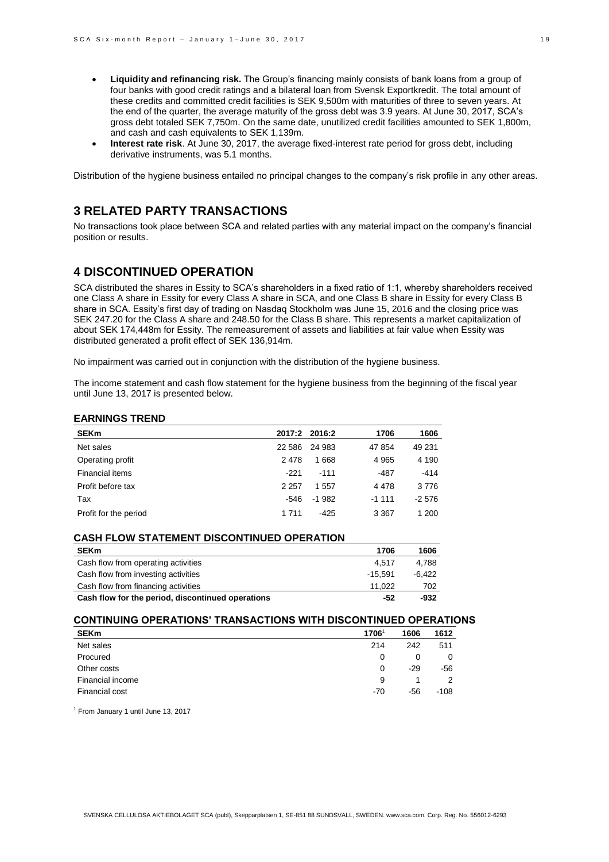- **Liquidity and refinancing risk.** The Group's financing mainly consists of bank loans from a group of four banks with good credit ratings and a bilateral loan from Svensk Exportkredit. The total amount of these credits and committed credit facilities is SEK 9,500m with maturities of three to seven years. At the end of the quarter, the average maturity of the gross debt was 3.9 years. At June 30, 2017, SCA's gross debt totaled SEK 7,750m. On the same date, unutilized credit facilities amounted to SEK 1,800m, and cash and cash equivalents to SEK 1,139m.
- **Interest rate risk**. At June 30, 2017, the average fixed-interest rate period for gross debt, including derivative instruments, was 5.1 months.

Distribution of the hygiene business entailed no principal changes to the company's risk profile in any other areas.

## **3 RELATED PARTY TRANSACTIONS**

No transactions took place between SCA and related parties with any material impact on the company's financial position or results.

### **4 DISCONTINUED OPERATION**

SCA distributed the shares in Essity to SCA's shareholders in a fixed ratio of 1:1, whereby shareholders received one Class A share in Essity for every Class A share in SCA, and one Class B share in Essity for every Class B share in SCA. Essity's first day of trading on Nasdaq Stockholm was June 15, 2016 and the closing price was SEK 247.20 for the Class A share and 248.50 for the Class B share. This represents a market capitalization of about SEK 174,448m for Essity. The remeasurement of assets and liabilities at fair value when Essity was distributed generated a profit effect of SEK 136,914m.

No impairment was carried out in conjunction with the distribution of the hygiene business.

The income statement and cash flow statement for the hygiene business from the beginning of the fiscal year until June 13, 2017 is presented below.

#### **EARNINGS TREND**

| <b>SEKm</b>           |          | 2017:2 2016:2 | 1706    | 1606    |
|-----------------------|----------|---------------|---------|---------|
| Net sales             | 22 5 8 6 | 24 983        | 47 854  | 49 231  |
| Operating profit      | 2478     | 1668          | 4 9 6 5 | 4 1 9 0 |
| Financial items       | $-221$   | $-111$        | -487    | $-414$  |
| Profit before tax     | 2 2 5 7  | 1 557         | 4 4 7 8 | 3776    |
| Tax                   | -546     | $-1982$       | $-1111$ | $-2576$ |
| Profit for the period | 1 7 1 1  | -425          | 3 3 6 7 | 1 200   |

### **CASH FLOW STATEMENT DISCONTINUED OPERATION**

| <b>SEKm</b>                                       | 1706      | 1606     |
|---------------------------------------------------|-----------|----------|
| Cash flow from operating activities               | 4.517     | 4.788    |
| Cash flow from investing activities               | $-15.591$ | $-6.422$ |
| Cash flow from financing activities               | 11.022    | 702      |
| Cash flow for the period, discontinued operations | -52       | -932     |

### **CONTINUING OPERATIONS' TRANSACTIONS WITH DISCONTINUED OPERATIONS**

| <b>SEKm</b>      | 1706  | 1606  | 1612 |
|------------------|-------|-------|------|
| Net sales        | 214   | 242   | 511  |
| Procured         | 0     | 0     | 0    |
| Other costs      | 0     | $-29$ | -56  |
| Financial income | 9     |       |      |
| Financial cost   | $-70$ | -56   | -108 |

1 From January 1 until June 13, 2017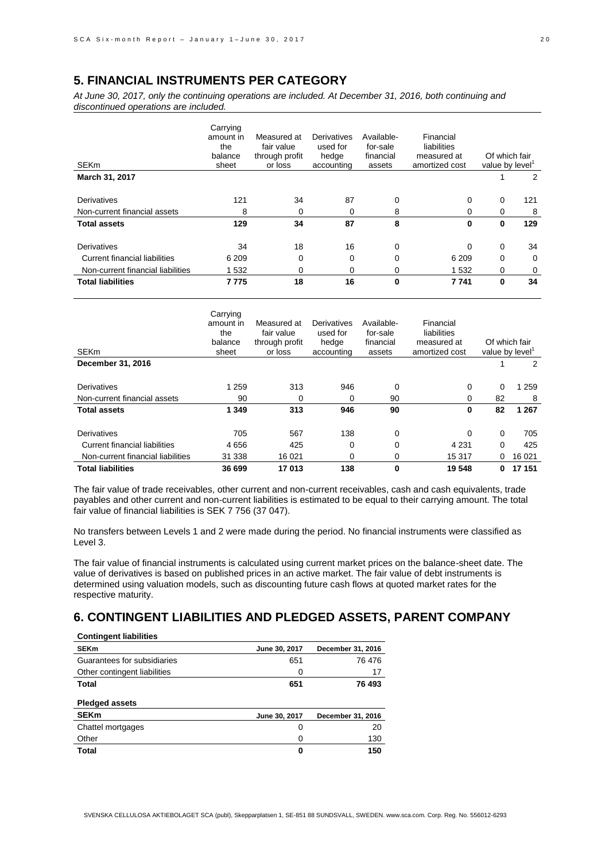### **5. FINANCIAL INSTRUMENTS PER CATEGORY**

*At June 30, 2017, only the continuing operations are included. At December 31, 2016, both continuing and discontinued operations are included.*

| <b>SEKm</b>                          | Carrying<br>amount in<br>the<br>balance<br>sheet | Measured at<br>fair value<br>through profit<br>or loss | Derivatives<br>used for<br>hedge<br>accounting | Available-<br>for-sale<br>financial<br>assets | Financial<br>liabilities<br>measured at<br>amortized cost | Of which fair<br>value by level' |          |
|--------------------------------------|--------------------------------------------------|--------------------------------------------------------|------------------------------------------------|-----------------------------------------------|-----------------------------------------------------------|----------------------------------|----------|
| March 31, 2017                       |                                                  |                                                        |                                                |                                               |                                                           |                                  | 2        |
| Derivatives                          | 121                                              | 34                                                     | 87                                             | 0                                             | 0                                                         | 0                                | 121      |
| Non-current financial assets         | 8                                                | 0                                                      | 0                                              | 8                                             | 0                                                         | 0                                | 8        |
| <b>Total assets</b>                  | 129                                              | 34                                                     | 87                                             | 8                                             | 0                                                         | 0                                | 129      |
| Derivatives                          | 34                                               | 18                                                     | 16                                             | 0                                             | $\Omega$                                                  | $\mathbf 0$                      | 34       |
| <b>Current financial liabilities</b> | 6 2 0 9                                          | 0                                                      | 0                                              | 0                                             | 6 2 0 9                                                   | 0                                | $\Omega$ |
| Non-current financial liabilities    | 1 5 3 2                                          | 0                                                      | 0                                              | 0                                             | 1 5 3 2                                                   | 0                                | 0        |
| <b>Total liabilities</b>             | 7775                                             | 18                                                     | 16                                             | 0                                             | 7 7 4 1                                                   | $\bf{0}$                         | 34       |

| <b>SEKm</b>                       | Carrying<br>amount in<br>the<br>balance<br>sheet | Measured at<br>fair value<br>through profit<br>or loss | Derivatives<br>used for<br>hedge<br>accounting | Available-<br>for-sale<br>financial<br>assets | Financial<br>liabilities<br>measured at<br>amortized cost | value by level' | Of which fair |
|-----------------------------------|--------------------------------------------------|--------------------------------------------------------|------------------------------------------------|-----------------------------------------------|-----------------------------------------------------------|-----------------|---------------|
| December 31, 2016                 |                                                  |                                                        |                                                |                                               |                                                           |                 | 2             |
| Derivatives                       | 1 2 5 9                                          | 313                                                    | 946                                            | 0                                             | 0                                                         | 0               | 1 2 5 9       |
| Non-current financial assets      | 90                                               | 0                                                      | 0                                              | 90                                            | 0                                                         | 82              | 8             |
| <b>Total assets</b>               | 1 3 4 9                                          | 313                                                    | 946                                            | 90                                            | 0                                                         | 82              | 1 2 6 7       |
| Derivatives                       | 705                                              | 567                                                    | 138                                            | 0                                             | 0                                                         | 0               | 705           |
| Current financial liabilities     | 4656                                             | 425                                                    | 0                                              | $\Omega$                                      | 4 2 3 1                                                   | $\Omega$        | 425           |
| Non-current financial liabilities | 31 338                                           | 16 0 21                                                | 0                                              | 0                                             | 15 317                                                    | 0               | 16 0 21       |
| <b>Total liabilities</b>          | 36 699                                           | 17013                                                  | 138                                            | 0                                             | 19548                                                     | 0               | 17 151        |

The fair value of trade receivables, other current and non-current receivables, cash and cash equivalents, trade payables and other current and non-current liabilities is estimated to be equal to their carrying amount. The total fair value of financial liabilities is SEK 7 756 (37 047).

No transfers between Levels 1 and 2 were made during the period. No financial instruments were classified as Level 3.

The fair value of financial instruments is calculated using current market prices on the balance-sheet date. The value of derivatives is based on published prices in an active market. The fair value of debt instruments is determined using valuation models, such as discounting future cash flows at quoted market rates for the respective maturity.

## **6. CONTINGENT LIABILITIES AND PLEDGED ASSETS, PARENT COMPANY**

| <b>Contingent liabilities</b> |               |                   |
|-------------------------------|---------------|-------------------|
| <b>SEKm</b>                   | June 30, 2017 | December 31, 2016 |
| Guarantees for subsidiaries   | 651           | 76 476            |
| Other contingent liabilities  | 0             | 17                |
| <b>Total</b>                  | 651           | 76 493            |
| <b>Pledged assets</b>         |               |                   |
| <b>SEKm</b>                   | June 30, 2017 | December 31, 2016 |
| Chattel mortgages             |               |                   |
|                               | 0             | 20                |
| Other                         | 0             | 130               |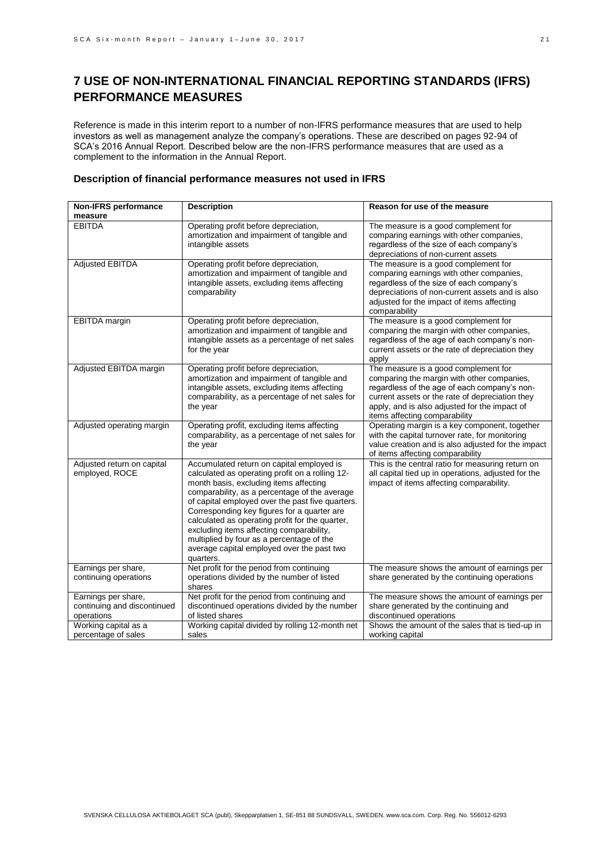# **7 USE OF NON-INTERNATIONAL FINANCIAL REPORTING STANDARDS (IFRS) PERFORMANCE MEASURES**

Reference is made in this interim report to a number of non-IFRS performance measures that are used to help investors as well as management analyze the company's operations. These are described on pages 92-94 of SCA's 2016 Annual Report. Described below are the non-IFRS performance measures that are used as a complement to the information in the Annual Report.

### **Description of financial performance measures not used in IFRS**

| <b>Non-IFRS performance</b>                                      | <b>Description</b>                                                                                                                                                                                                                                                                                                                                                                                                                                                                                | Reason for use of the measure                                                                                                                                                                                                                                           |
|------------------------------------------------------------------|---------------------------------------------------------------------------------------------------------------------------------------------------------------------------------------------------------------------------------------------------------------------------------------------------------------------------------------------------------------------------------------------------------------------------------------------------------------------------------------------------|-------------------------------------------------------------------------------------------------------------------------------------------------------------------------------------------------------------------------------------------------------------------------|
| measure                                                          |                                                                                                                                                                                                                                                                                                                                                                                                                                                                                                   |                                                                                                                                                                                                                                                                         |
| <b>EBITDA</b>                                                    | Operating profit before depreciation,<br>amortization and impairment of tangible and<br>intangible assets                                                                                                                                                                                                                                                                                                                                                                                         | The measure is a good complement for<br>comparing earnings with other companies,<br>regardless of the size of each company's<br>depreciations of non-current assets                                                                                                     |
| <b>Adjusted EBITDA</b>                                           | Operating profit before depreciation,<br>amortization and impairment of tangible and<br>intangible assets, excluding items affecting<br>comparability                                                                                                                                                                                                                                                                                                                                             | The measure is a good complement for<br>comparing earnings with other companies,<br>regardless of the size of each company's<br>depreciations of non-current assets and is also<br>adjusted for the impact of items affecting<br>comparability                          |
| <b>EBITDA</b> margin                                             | Operating profit before depreciation,<br>amortization and impairment of tangible and<br>intangible assets as a percentage of net sales<br>for the year                                                                                                                                                                                                                                                                                                                                            | The measure is a good complement for<br>comparing the margin with other companies,<br>regardless of the age of each company's non-<br>current assets or the rate of depreciation they<br>apply                                                                          |
| Adjusted EBITDA margin                                           | Operating profit before depreciation,<br>amortization and impairment of tangible and<br>intangible assets, excluding items affecting<br>comparability, as a percentage of net sales for<br>the year                                                                                                                                                                                                                                                                                               | The measure is a good complement for<br>comparing the margin with other companies,<br>regardless of the age of each company's non-<br>current assets or the rate of depreciation they<br>apply, and is also adjusted for the impact of<br>items affecting comparability |
| Adjusted operating margin                                        | Operating profit, excluding items affecting<br>comparability, as a percentage of net sales for<br>the year                                                                                                                                                                                                                                                                                                                                                                                        | Operating margin is a key component, together<br>with the capital turnover rate, for monitoring<br>value creation and is also adjusted for the impact<br>of items affecting comparability                                                                               |
| Adjusted return on capital<br>employed, ROCE                     | Accumulated return on capital employed is<br>calculated as operating profit on a rolling 12-<br>month basis, excluding items affecting<br>comparability, as a percentage of the average<br>of capital employed over the past five quarters.<br>Corresponding key figures for a quarter are<br>calculated as operating profit for the quarter,<br>excluding items affecting comparability,<br>multiplied by four as a percentage of the<br>average capital employed over the past two<br>quarters. | This is the central ratio for measuring return on<br>all capital tied up in operations, adjusted for the<br>impact of items affecting comparability.                                                                                                                    |
| Earnings per share,<br>continuing operations                     | Net profit for the period from continuing<br>operations divided by the number of listed<br>shares                                                                                                                                                                                                                                                                                                                                                                                                 | The measure shows the amount of earnings per<br>share generated by the continuing operations                                                                                                                                                                            |
| Earnings per share,<br>continuing and discontinued<br>operations | Net profit for the period from continuing and<br>discontinued operations divided by the number<br>of listed shares                                                                                                                                                                                                                                                                                                                                                                                | The measure shows the amount of earnings per<br>share generated by the continuing and<br>discontinued operations                                                                                                                                                        |
| Working capital as a<br>percentage of sales                      | Working capital divided by rolling 12-month net<br>sales                                                                                                                                                                                                                                                                                                                                                                                                                                          | Shows the amount of the sales that is tied-up in<br>working capital                                                                                                                                                                                                     |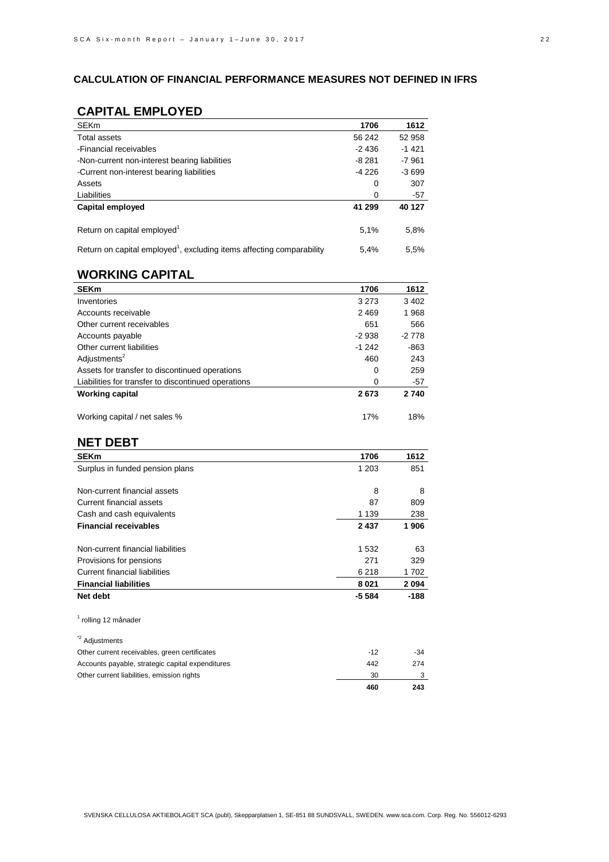### **CALCULATION OF FINANCIAL PERFORMANCE MEASURES NOT DEFINED IN IFRS**

## **CAPITAL EMPLOYED**

| <b>SEKm</b>                                                                       | 1706    | 1612    |
|-----------------------------------------------------------------------------------|---------|---------|
| Total assets                                                                      | 56 242  | 52 958  |
| -Financial receivables                                                            | -2 436  | $-1421$ |
| -Non-current non-interest bearing liabilities                                     | -8 281  | -7 961  |
| -Current non-interest bearing liabilities                                         | $-4226$ | $-3699$ |
| Assets                                                                            | 0       | 307     |
| Liabilities                                                                       | 0       | -57     |
| Capital employed                                                                  | 41 299  | 40 127  |
| Return on capital employed <sup>1</sup>                                           | 5.1%    | 5,8%    |
| Return on capital employed <sup>1</sup> , excluding items affecting comparability | 5.4%    | 5.5%    |

## **WORKING CAPITAL**

| <b>SEKm</b>                                         | 1706    | 1612    |
|-----------------------------------------------------|---------|---------|
| Inventories                                         | 3 2 7 3 | 3 4 0 2 |
| Accounts receivable                                 | 2469    | 1968    |
| Other current receivables                           | 651     | 566     |
| Accounts payable                                    | $-2938$ | $-2778$ |
| Other current liabilities                           | $-1242$ | -863    |
| Adjustments <sup>2</sup>                            | 460     | 243     |
| Assets for transfer to discontinued operations      | 0       | 259     |
| Liabilities for transfer to discontinued operations | 0       | -57     |
| <b>Working capital</b>                              | 2673    | 2740    |
| Working capital / net sales %                       | 17%     | 18%     |

### **NET DEBT**

| <b>SEKm</b>                                      | 1706    | 1612    |
|--------------------------------------------------|---------|---------|
| Surplus in funded pension plans                  | 1 203   | 851     |
|                                                  |         |         |
| Non-current financial assets                     | 8       | 8       |
| <b>Current financial assets</b>                  | 87      | 809     |
| Cash and cash equivalents                        | 1 1 3 9 | 238     |
| <b>Financial receivables</b>                     | 2 4 3 7 | 1906    |
|                                                  |         |         |
| Non-current financial liabilities                | 1 532   | 63      |
| Provisions for pensions                          | 271     | 329     |
| <b>Current financial liabilities</b>             | 6 2 1 8 | 1702    |
| <b>Financial liabilities</b>                     | 8 0 21  | 2 0 9 4 |
| Net debt                                         | $-5584$ | -188    |
|                                                  |         |         |
| <sup>1</sup> rolling 12 månader                  |         |         |
|                                                  |         |         |
| <sup>*2</sup> Adjustments                        |         |         |
| Other current receivables, green certificates    | $-12$   | $-34$   |
| Accounts payable, strategic capital expenditures | 442     | 274     |
| Other current liabilities, emission rights       | 30      | 3       |
|                                                  | 460     | 243     |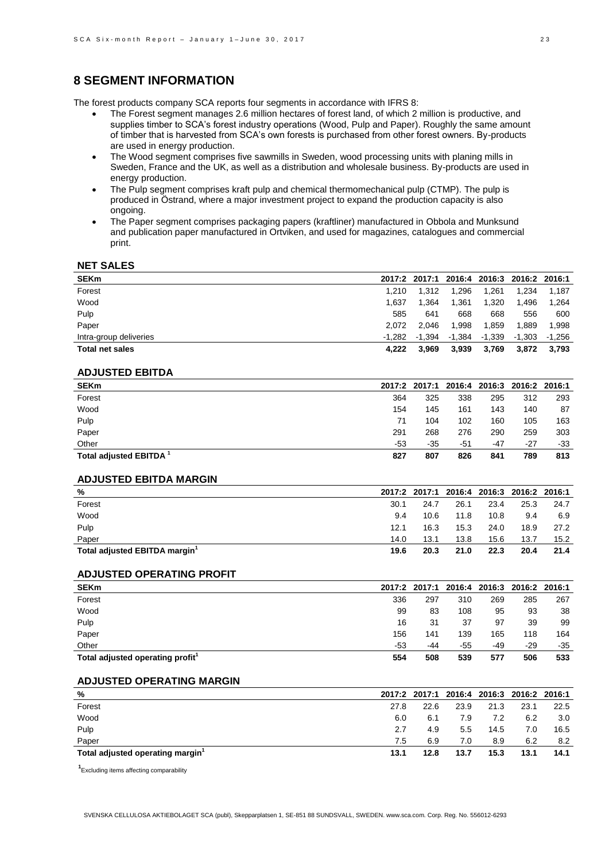### **8 SEGMENT INFORMATION**

The forest products company SCA reports four segments in accordance with IFRS 8:

- The Forest segment manages 2.6 million hectares of forest land, of which 2 million is productive, and supplies timber to SCA's forest industry operations (Wood, Pulp and Paper). Roughly the same amount of timber that is harvested from SCA's own forests is purchased from other forest owners. By-products are used in energy production.
- The Wood segment comprises five sawmills in Sweden, wood processing units with planing mills in Sweden, France and the UK, as well as a distribution and wholesale business. By-products are used in energy production.
- The Pulp segment comprises kraft pulp and chemical thermomechanical pulp (CTMP). The pulp is produced in Östrand, where a major investment project to expand the production capacity is also ongoing.
- The Paper segment comprises packaging papers (kraftliner) manufactured in Obbola and Munksund and publication paper manufactured in Ortviken, and used for magazines, catalogues and commercial print.

### **NET SALES**

| <b>SEKm</b>            |        |        |        |        | 2017:2 2017:1 2016:4 2016:3 2016:2 2016:1 |        |
|------------------------|--------|--------|--------|--------|-------------------------------------------|--------|
| Forest                 | 1.210  | 1.312  | 1.296  | 1.261  | 1.234                                     | 1.187  |
| Wood                   | 1.637  | l.364  | 1.361  | 1,320  | 1.496                                     | 1,264  |
| Pulp                   | 585    | 641    | 668    | 668    | 556                                       | 600    |
| Paper                  | 2.072  | 2.046  | 1.998  | 1.859  | 1.889                                     | 1,998  |
| Intra-group deliveries | -1.282 | -1.394 | -1,384 | -1,339 | -1,303                                    | -1.256 |
| <b>Total net sales</b> | 4.222  | 3,969  | 3,939  | 3,769  | 3,872                                     | 3,793  |
|                        |        |        |        |        |                                           |        |

#### **ADJUSTED EBITDA**

| <b>SEKm</b>                        | 2017:2 | 2017:1 |     |       | 2016:4 2016:3 2016:2 2016:1 |       |
|------------------------------------|--------|--------|-----|-------|-----------------------------|-------|
| Forest                             | 364    | 325    | 338 | 295   | 312                         | 293   |
| Wood                               | 154    | 145    | 161 | 143   | 140                         | 87    |
| Pulp                               | 71     | 104    | 102 | 160   | 105                         | 163   |
| Paper                              | 291    | 268    | 276 | 290   | 259                         | 303   |
| Other                              | -53    | -35    | -51 | $-47$ | $-27$                       | $-33$ |
| Total adjusted EBITDA <sup>1</sup> | 827    | 807    | 826 | 841   | 789                         | 813   |

#### **ADJUSTED EBITDA MARGIN**

| %                                         |      |      |      |      | 2017:2 2017:1 2016:4 2016:3 2016:2 2016:1 |      |
|-------------------------------------------|------|------|------|------|-------------------------------------------|------|
| Forest                                    | 30.1 | 24.7 | 26.1 | 23.4 | 25.3                                      | 24.7 |
| Wood                                      | 9.4  | 10.6 | 11.8 | 10.8 | 9.4                                       | 6.9  |
| Pulp                                      | 12.1 | 16.3 | 15.3 | 24.0 | 18.9                                      | 27.2 |
| Paper                                     | 14.0 | 13.1 | 13.8 | 15.6 | 13.7                                      | 15.2 |
| Total adjusted EBITDA margin <sup>1</sup> | 19.6 | 20.3 | 21.0 | 22.3 | 20.4                                      | 21.4 |

#### **ADJUSTED OPERATING PROFIT**

| <b>SEKm</b>                                  | 2017:2 | 2017:1 2016:4 2016:3 2016:2 2016:1 |     |     |     |       |
|----------------------------------------------|--------|------------------------------------|-----|-----|-----|-------|
| Forest                                       | 336    | 297                                | 310 | 269 | 285 | 267   |
| Wood                                         | 99     | 83                                 | 108 | 95  | 93  | 38    |
| Pulp                                         | 16     | 31                                 | 37  | 97  | 39  | 99    |
| Paper                                        | 156    | 141                                | 139 | 165 | 118 | 164   |
| Other                                        | -53    | -44                                | -55 | -49 | -29 | $-35$ |
| Total adjusted operating profit <sup>1</sup> | 554    | 508                                | 539 | 577 | 506 | 533   |

#### **ADJUSTED OPERATING MARGIN**

| $\frac{0}{0}$                                | 2017:2 |      |      |      | 2017:1 2016:4 2016:3 2016:2 2016:1 |      |
|----------------------------------------------|--------|------|------|------|------------------------------------|------|
| Forest                                       | 27.8   | 22.6 | 23.9 | 21.3 | 23.1                               | 22.5 |
| Wood                                         | 6.0    | 6.1  | 7.9  | 7.2  | 6.2                                | 3.0  |
| Pulp                                         | 2.7    | 4.9  | 5.5  | 14.5 | 7.0                                | 16.5 |
| Paper                                        | 7.5    | 6.9  | 7.0  | 8.9  | 6.2                                | 8.2  |
| Total adjusted operating margin <sup>1</sup> | 13.1   | 12.8 | 13.7 | 15.3 | 13.1                               | 14.1 |

**1** Excluding items affecting comparability